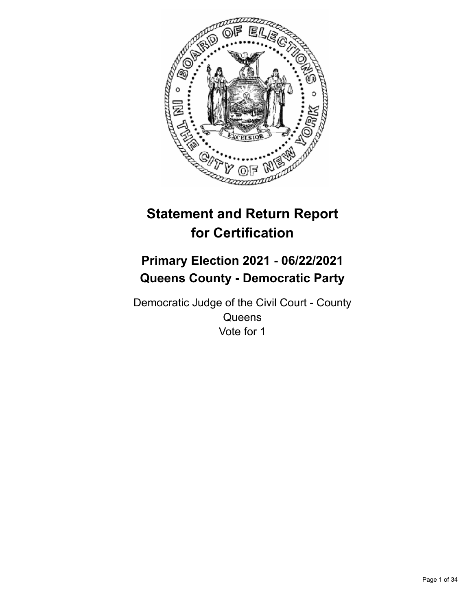

# **Statement and Return Report for Certification**

## **Primary Election 2021 - 06/22/2021 Queens County - Democratic Party**

Democratic Judge of the Civil Court - County **Queens** Vote for 1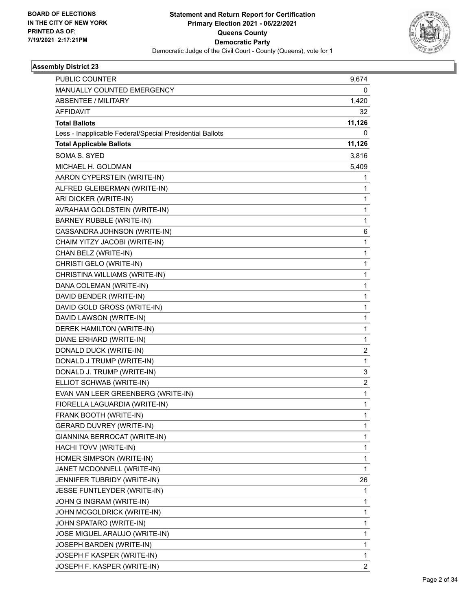

| PUBLIC COUNTER                                           | 9,674          |
|----------------------------------------------------------|----------------|
| MANUALLY COUNTED EMERGENCY                               | 0              |
| ABSENTEE / MILITARY                                      | 1,420          |
| <b>AFFIDAVIT</b>                                         | 32             |
| <b>Total Ballots</b>                                     | 11,126         |
| Less - Inapplicable Federal/Special Presidential Ballots | 0              |
| <b>Total Applicable Ballots</b>                          | 11,126         |
| SOMA S. SYED                                             | 3,816          |
| MICHAEL H. GOLDMAN                                       | 5,409          |
| AARON CYPERSTEIN (WRITE-IN)                              | 1              |
| ALFRED GLEIBERMAN (WRITE-IN)                             | 1              |
| ARI DICKER (WRITE-IN)                                    | 1              |
| AVRAHAM GOLDSTEIN (WRITE-IN)                             | 1              |
| <b>BARNEY RUBBLE (WRITE-IN)</b>                          | 1              |
| CASSANDRA JOHNSON (WRITE-IN)                             | 6              |
| CHAIM YITZY JACOBI (WRITE-IN)                            | 1              |
| CHAN BELZ (WRITE-IN)                                     | 1              |
| CHRISTI GELO (WRITE-IN)                                  | 1              |
| CHRISTINA WILLIAMS (WRITE-IN)                            | 1              |
| DANA COLEMAN (WRITE-IN)                                  | 1              |
| DAVID BENDER (WRITE-IN)                                  | 1              |
| DAVID GOLD GROSS (WRITE-IN)                              | 1              |
| DAVID LAWSON (WRITE-IN)                                  | 1              |
| DEREK HAMILTON (WRITE-IN)                                | 1              |
| DIANE ERHARD (WRITE-IN)                                  | 1              |
| DONALD DUCK (WRITE-IN)                                   | 2              |
| DONALD J TRUMP (WRITE-IN)                                | 1              |
| DONALD J. TRUMP (WRITE-IN)                               | 3              |
| ELLIOT SCHWAB (WRITE-IN)                                 | 2              |
| EVAN VAN LEER GREENBERG (WRITE-IN)                       | 1              |
| FIORELLA LAGUARDIA (WRITE-IN)                            | 1              |
| FRANK BOOTH (WRITE-IN)                                   | 1              |
| GERARD DUVREY (WRITE-IN)                                 | 1              |
| GIANNINA BERROCAT (WRITE-IN)                             | 1              |
| HACHI TOVV (WRITE-IN)                                    | 1              |
| HOMER SIMPSON (WRITE-IN)                                 | 1              |
| JANET MCDONNELL (WRITE-IN)                               | 1              |
| JENNIFER TUBRIDY (WRITE-IN)                              | 26             |
| JESSE FUNTLEYDER (WRITE-IN)                              | 1              |
| JOHN G INGRAM (WRITE-IN)                                 | 1              |
| JOHN MCGOLDRICK (WRITE-IN)                               | 1              |
| JOHN SPATARO (WRITE-IN)                                  | 1              |
| JOSE MIGUEL ARAUJO (WRITE-IN)                            | 1              |
| JOSEPH BARDEN (WRITE-IN)                                 | 1              |
| JOSEPH F KASPER (WRITE-IN)                               | 1              |
| JOSEPH F. KASPER (WRITE-IN)                              | $\overline{2}$ |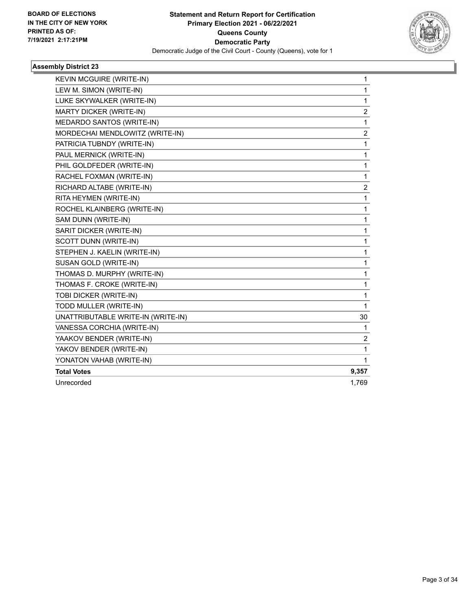

| KEVIN MCGUIRE (WRITE-IN)           | $\mathbf{1}$ |
|------------------------------------|--------------|
| LEW M. SIMON (WRITE-IN)            | 1            |
| LUKE SKYWALKER (WRITE-IN)          | 1            |
| MARTY DICKER (WRITE-IN)            | 2            |
| MEDARDO SANTOS (WRITE-IN)          | 1            |
| MORDECHAI MENDLOWITZ (WRITE-IN)    | 2            |
| PATRICIA TUBNDY (WRITE-IN)         | 1            |
| PAUL MERNICK (WRITE-IN)            | 1            |
| PHIL GOLDFEDER (WRITE-IN)          | 1            |
| RACHEL FOXMAN (WRITE-IN)           | 1            |
| RICHARD ALTABE (WRITE-IN)          | 2            |
| RITA HEYMEN (WRITE-IN)             | 1            |
| ROCHEL KLAINBERG (WRITE-IN)        | 1            |
| SAM DUNN (WRITE-IN)                | 1            |
| SARIT DICKER (WRITE-IN)            | 1            |
| SCOTT DUNN (WRITE-IN)              | 1            |
| STEPHEN J. KAELIN (WRITE-IN)       | 1            |
| SUSAN GOLD (WRITE-IN)              | 1            |
| THOMAS D. MURPHY (WRITE-IN)        | 1            |
| THOMAS F. CROKE (WRITE-IN)         | 1            |
| TOBI DICKER (WRITE-IN)             | 1            |
| TODD MULLER (WRITE-IN)             | $\mathbf{1}$ |
| UNATTRIBUTABLE WRITE-IN (WRITE-IN) | 30           |
| VANESSA CORCHIA (WRITE-IN)         | 1            |
| YAAKOV BENDER (WRITE-IN)           | 2            |
| YAKOV BENDER (WRITE-IN)            | 1            |
| YONATON VAHAB (WRITE-IN)           | 1            |
| <b>Total Votes</b>                 | 9,357        |
| Unrecorded                         | 1,769        |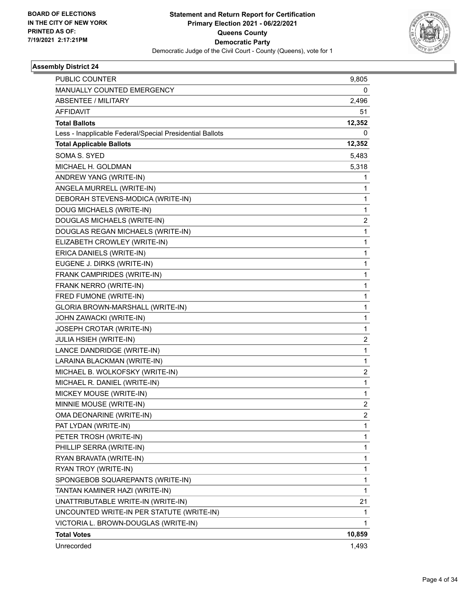

| <b>PUBLIC COUNTER</b>                                    | 9,805          |
|----------------------------------------------------------|----------------|
| MANUALLY COUNTED EMERGENCY                               | 0              |
| <b>ABSENTEE / MILITARY</b>                               | 2,496          |
| AFFIDAVIT                                                | 51             |
| <b>Total Ballots</b>                                     | 12,352         |
| Less - Inapplicable Federal/Special Presidential Ballots | 0              |
| <b>Total Applicable Ballots</b>                          | 12,352         |
| SOMA S. SYED                                             | 5,483          |
| MICHAEL H. GOLDMAN                                       | 5,318          |
| ANDREW YANG (WRITE-IN)                                   | 1              |
| ANGELA MURRELL (WRITE-IN)                                | 1              |
| DEBORAH STEVENS-MODICA (WRITE-IN)                        | 1              |
| DOUG MICHAELS (WRITE-IN)                                 | 1              |
| DOUGLAS MICHAELS (WRITE-IN)                              | 2              |
| DOUGLAS REGAN MICHAELS (WRITE-IN)                        | 1              |
| ELIZABETH CROWLEY (WRITE-IN)                             | 1              |
| ERICA DANIELS (WRITE-IN)                                 | 1              |
| EUGENE J. DIRKS (WRITE-IN)                               | 1              |
| FRANK CAMPIRIDES (WRITE-IN)                              | 1              |
| FRANK NERRO (WRITE-IN)                                   | 1              |
| FRED FUMONE (WRITE-IN)                                   | 1              |
| GLORIA BROWN-MARSHALL (WRITE-IN)                         | 1              |
| JOHN ZAWACKI (WRITE-IN)                                  | 1              |
| JOSEPH CROTAR (WRITE-IN)                                 | 1              |
| JULIA HSIEH (WRITE-IN)                                   | $\overline{2}$ |
| LANCE DANDRIDGE (WRITE-IN)                               | 1              |
| LARAINA BLACKMAN (WRITE-IN)                              | 1              |
| MICHAEL B. WOLKOFSKY (WRITE-IN)                          | 2              |
| MICHAEL R. DANIEL (WRITE-IN)                             | 1              |
| MICKEY MOUSE (WRITE-IN)                                  | 1              |
| MINNIE MOUSE (WRITE-IN)                                  | $\overline{2}$ |
| OMA DEONARINE (WRITE-IN)                                 | 2              |
| PAT LYDAN (WRITE-IN)                                     | 1              |
| PETER TROSH (WRITE-IN)                                   | 1              |
| PHILLIP SERRA (WRITE-IN)                                 | 1              |
| RYAN BRAVATA (WRITE-IN)                                  | 1              |
| RYAN TROY (WRITE-IN)                                     | 1              |
| SPONGEBOB SQUAREPANTS (WRITE-IN)                         | 1              |
| TANTAN KAMINER HAZI (WRITE-IN)                           | 1              |
| UNATTRIBUTABLE WRITE-IN (WRITE-IN)                       | 21             |
| UNCOUNTED WRITE-IN PER STATUTE (WRITE-IN)                | 1              |
| VICTORIA L. BROWN-DOUGLAS (WRITE-IN)                     | 1              |
| <b>Total Votes</b>                                       | 10,859         |
| Unrecorded                                               | 1,493          |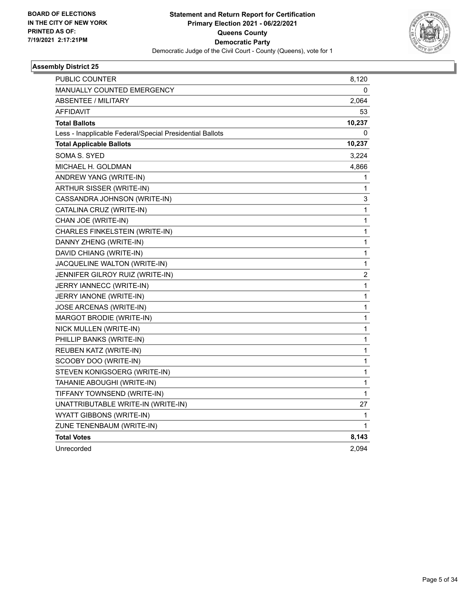

| <b>PUBLIC COUNTER</b>                                    | 8,120        |
|----------------------------------------------------------|--------------|
| <b>MANUALLY COUNTED EMERGENCY</b>                        | 0            |
| <b>ABSENTEE / MILITARY</b>                               | 2,064        |
| <b>AFFIDAVIT</b>                                         | 53           |
| <b>Total Ballots</b>                                     | 10,237       |
| Less - Inapplicable Federal/Special Presidential Ballots | 0            |
| <b>Total Applicable Ballots</b>                          | 10,237       |
| <b>SOMA S. SYED</b>                                      | 3,224        |
| MICHAEL H. GOLDMAN                                       | 4,866        |
| ANDREW YANG (WRITE-IN)                                   | 1            |
| ARTHUR SISSER (WRITE-IN)                                 | 1            |
| CASSANDRA JOHNSON (WRITE-IN)                             | 3            |
| CATALINA CRUZ (WRITE-IN)                                 | 1            |
| CHAN JOE (WRITE-IN)                                      | 1            |
| CHARLES FINKELSTEIN (WRITE-IN)                           | 1            |
| DANNY ZHENG (WRITE-IN)                                   | 1            |
| DAVID CHIANG (WRITE-IN)                                  | 1            |
| JACQUELINE WALTON (WRITE-IN)                             | 1            |
| JENNIFER GILROY RUIZ (WRITE-IN)                          | 2            |
| JERRY IANNECC (WRITE-IN)                                 | 1            |
| JERRY IANONE (WRITE-IN)                                  | 1            |
| JOSE ARCENAS (WRITE-IN)                                  | $\mathbf{1}$ |
| MARGOT BRODIE (WRITE-IN)                                 | 1            |
| NICK MULLEN (WRITE-IN)                                   | 1            |
| PHILLIP BANKS (WRITE-IN)                                 | 1            |
| REUBEN KATZ (WRITE-IN)                                   | 1            |
| SCOOBY DOO (WRITE-IN)                                    | 1            |
| STEVEN KONIGSOERG (WRITE-IN)                             | 1            |
| TAHANIE ABOUGHI (WRITE-IN)                               | 1            |
| TIFFANY TOWNSEND (WRITE-IN)                              | 1            |
| UNATTRIBUTABLE WRITE-IN (WRITE-IN)                       | 27           |
| WYATT GIBBONS (WRITE-IN)                                 | 1            |
| ZUNE TENENBAUM (WRITE-IN)                                | 1            |
| <b>Total Votes</b>                                       | 8,143        |
| Unrecorded                                               | 2,094        |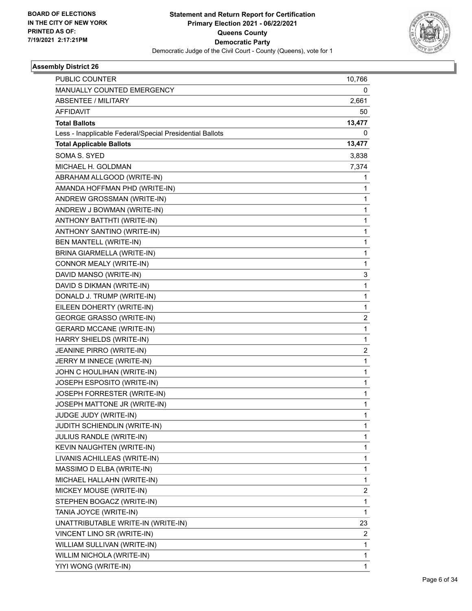

| <b>PUBLIC COUNTER</b>                                    | 10,766                  |
|----------------------------------------------------------|-------------------------|
| MANUALLY COUNTED EMERGENCY                               | 0                       |
| <b>ABSENTEE / MILITARY</b>                               | 2,661                   |
| <b>AFFIDAVIT</b>                                         | 50                      |
| <b>Total Ballots</b>                                     | 13,477                  |
| Less - Inapplicable Federal/Special Presidential Ballots | 0                       |
| <b>Total Applicable Ballots</b>                          | 13,477                  |
| SOMA S. SYED                                             | 3,838                   |
| MICHAEL H. GOLDMAN                                       | 7,374                   |
| ABRAHAM ALLGOOD (WRITE-IN)                               | 1                       |
| AMANDA HOFFMAN PHD (WRITE-IN)                            | 1                       |
| ANDREW GROSSMAN (WRITE-IN)                               | 1                       |
| ANDREW J BOWMAN (WRITE-IN)                               | 1                       |
| ANTHONY BATTHTI (WRITE-IN)                               | $\mathbf{1}$            |
| ANTHONY SANTINO (WRITE-IN)                               | 1                       |
| <b>BEN MANTELL (WRITE-IN)</b>                            | 1                       |
| BRINA GIARMELLA (WRITE-IN)                               | $\mathbf{1}$            |
| CONNOR MEALY (WRITE-IN)                                  | 1                       |
| DAVID MANSO (WRITE-IN)                                   | 3                       |
| DAVID S DIKMAN (WRITE-IN)                                | 1                       |
| DONALD J. TRUMP (WRITE-IN)                               | 1                       |
| EILEEN DOHERTY (WRITE-IN)                                | 1                       |
| <b>GEORGE GRASSO (WRITE-IN)</b>                          | 2                       |
| <b>GERARD MCCANE (WRITE-IN)</b>                          | 1                       |
| HARRY SHIELDS (WRITE-IN)                                 | 1                       |
| JEANINE PIRRO (WRITE-IN)                                 | $\overline{\mathbf{c}}$ |
| JERRY M INNECE (WRITE-IN)                                | 1                       |
| JOHN C HOULIHAN (WRITE-IN)                               | 1                       |
| JOSEPH ESPOSITO (WRITE-IN)                               | $\mathbf{1}$            |
| JOSEPH FORRESTER (WRITE-IN)                              | 1                       |
| JOSEPH MATTONE JR (WRITE-IN)                             | 1                       |
| JUDGE JUDY (WRITE-IN)                                    | 1                       |
| JUDITH SCHIENDLIN (WRITE-IN)                             | 1                       |
| JULIUS RANDLE (WRITE-IN)                                 | 1                       |
| KEVIN NAUGHTEN (WRITE-IN)                                | 1                       |
| LIVANIS ACHILLEAS (WRITE-IN)                             | 1                       |
| MASSIMO D ELBA (WRITE-IN)                                | 1                       |
| MICHAEL HALLAHN (WRITE-IN)                               | 1                       |
| MICKEY MOUSE (WRITE-IN)                                  | 2                       |
| STEPHEN BOGACZ (WRITE-IN)                                | 1                       |
| TANIA JOYCE (WRITE-IN)                                   | $\mathbf 1$             |
| UNATTRIBUTABLE WRITE-IN (WRITE-IN)                       | 23                      |
| VINCENT LINO SR (WRITE-IN)                               | $\overline{\mathbf{c}}$ |
| WILLIAM SULLIVAN (WRITE-IN)                              | $\mathbf{1}$            |
| WILLIM NICHOLA (WRITE-IN)                                | 1                       |
| YIYI WONG (WRITE-IN)                                     | 1                       |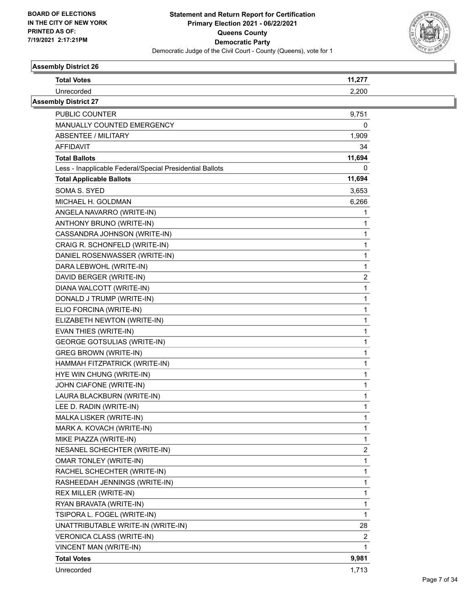

| <b>Total Votes</b>                                       | 11,277 |  |
|----------------------------------------------------------|--------|--|
| Unrecorded                                               | 2,200  |  |
| <b>Assembly District 27</b>                              |        |  |
| PUBLIC COUNTER                                           | 9,751  |  |
| MANUALLY COUNTED EMERGENCY                               | 0      |  |
| ABSENTEE / MILITARY                                      | 1,909  |  |
| AFFIDAVIT                                                | 34     |  |
| <b>Total Ballots</b>                                     | 11,694 |  |
| Less - Inapplicable Federal/Special Presidential Ballots | 0      |  |
| <b>Total Applicable Ballots</b>                          | 11,694 |  |
| SOMA S. SYED                                             | 3,653  |  |
| MICHAEL H. GOLDMAN                                       | 6,266  |  |
| ANGELA NAVARRO (WRITE-IN)                                |        |  |
| ANTHONY BRUNO (WRITE-IN)                                 |        |  |
| CASSANDRA JOHNSON (WRITE-IN)                             |        |  |
| CRAIG R. SCHONFELD (WRITE-IN)                            |        |  |
| DANIEL ROSENWASSER (WRITE-IN)                            |        |  |
| DARA LEBWOHL (WRITE-IN)                                  | 1      |  |
| DAVID BERGER (WRITE-IN)                                  | 2      |  |
| DIANA WALCOTT (WRITE-IN)                                 | 1      |  |
| DONALD J TRUMP (WRITE-IN)                                |        |  |
| ELIO FORCINA (WRITE-IN)                                  |        |  |
| ELIZABETH NEWTON (WRITE-IN)                              |        |  |
| EVAN THIES (WRITE-IN)                                    |        |  |
| <b>GEORGE GOTSULIAS (WRITE-IN)</b>                       |        |  |
| <b>GREG BROWN (WRITE-IN)</b>                             |        |  |
| HAMMAH FITZPATRICK (WRITE-IN)                            |        |  |
| HYE WIN CHUNG (WRITE-IN)                                 |        |  |
| JOHN CIAFONE (WRITE-IN)                                  |        |  |
| LAURA BLACKBURN (WRITE-IN)                               |        |  |
| LEE D. RADIN (WRITE-IN)                                  |        |  |
| MALKA LISKER (WRITE-IN)                                  |        |  |
| MARK A. KOVACH (WRITE-IN)                                | 1      |  |
| MIKE PIAZZA (WRITE-IN)                                   |        |  |
| NESANEL SCHECHTER (WRITE-IN)                             | 2      |  |
| <b>OMAR TONLEY (WRITE-IN)</b>                            |        |  |
| RACHEL SCHECHTER (WRITE-IN)                              |        |  |
| RASHEEDAH JENNINGS (WRITE-IN)                            |        |  |
| REX MILLER (WRITE-IN)                                    |        |  |
| RYAN BRAVATA (WRITE-IN)                                  |        |  |
| TSIPORA L. FOGEL (WRITE-IN)                              | 1      |  |
| UNATTRIBUTABLE WRITE-IN (WRITE-IN)                       | 28     |  |
| <b>VERONICA CLASS (WRITE-IN)</b>                         | 2      |  |
| VINCENT MAN (WRITE-IN)                                   |        |  |
| <b>Total Votes</b>                                       | 9,981  |  |
| Unrecorded                                               | 1,713  |  |
|                                                          |        |  |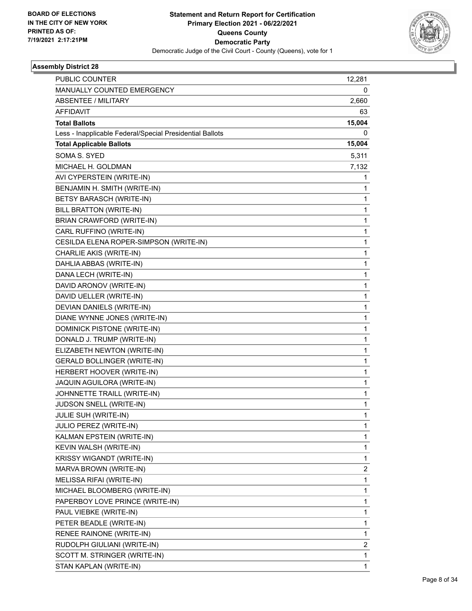

| <b>PUBLIC COUNTER</b>                                    | 12,281 |
|----------------------------------------------------------|--------|
| MANUALLY COUNTED EMERGENCY                               | 0      |
| <b>ABSENTEE / MILITARY</b>                               | 2,660  |
| <b>AFFIDAVIT</b>                                         | 63     |
| <b>Total Ballots</b>                                     | 15,004 |
| Less - Inapplicable Federal/Special Presidential Ballots | 0      |
| <b>Total Applicable Ballots</b>                          | 15,004 |
| SOMA S. SYED                                             | 5,311  |
| MICHAEL H. GOLDMAN                                       | 7,132  |
| AVI CYPERSTEIN (WRITE-IN)                                | 1      |
| BENJAMIN H. SMITH (WRITE-IN)                             | 1      |
| BETSY BARASCH (WRITE-IN)                                 | 1      |
| <b>BILL BRATTON (WRITE-IN)</b>                           | 1      |
| BRIAN CRAWFORD (WRITE-IN)                                | 1      |
| CARL RUFFINO (WRITE-IN)                                  | 1      |
| CESILDA ELENA ROPER-SIMPSON (WRITE-IN)                   | 1      |
| CHARLIE AKIS (WRITE-IN)                                  | 1      |
| DAHLIA ABBAS (WRITE-IN)                                  | 1      |
| DANA LECH (WRITE-IN)                                     | 1      |
| DAVID ARONOV (WRITE-IN)                                  | 1      |
| DAVID UELLER (WRITE-IN)                                  | 1      |
| DEVIAN DANIELS (WRITE-IN)                                | 1      |
| DIANE WYNNE JONES (WRITE-IN)                             | 1      |
| DOMINICK PISTONE (WRITE-IN)                              | 1      |
| DONALD J. TRUMP (WRITE-IN)                               | 1      |
| ELIZABETH NEWTON (WRITE-IN)                              | 1      |
| GERALD BOLLINGER (WRITE-IN)                              | 1      |
| HERBERT HOOVER (WRITE-IN)                                | 1      |
| JAQUIN AGUILORA (WRITE-IN)                               | 1      |
| JOHNNETTE TRAILL (WRITE-IN)                              | 1      |
| JUDSON SNELL (WRITE-IN)                                  | 1      |
| JULIE SUH (WRITE-IN)                                     | 1      |
| JULIO PEREZ (WRITE-IN)                                   | 1      |
| KALMAN EPSTEIN (WRITE-IN)                                | 1      |
| KEVIN WALSH (WRITE-IN)                                   | 1      |
| KRISSY WIGANDT (WRITE-IN)                                | 1      |
| MARVA BROWN (WRITE-IN)                                   | 2      |
| MELISSA RIFAI (WRITE-IN)                                 | 1      |
| MICHAEL BLOOMBERG (WRITE-IN)                             | 1      |
| PAPERBOY LOVE PRINCE (WRITE-IN)                          | 1      |
| PAUL VIEBKE (WRITE-IN)                                   | 1      |
| PETER BEADLE (WRITE-IN)                                  | 1      |
| RENEE RAINONE (WRITE-IN)                                 | 1      |
| RUDOLPH GIULIANI (WRITE-IN)                              | 2      |
| SCOTT M. STRINGER (WRITE-IN)                             | 1      |
| STAN KAPLAN (WRITE-IN)                                   | 1      |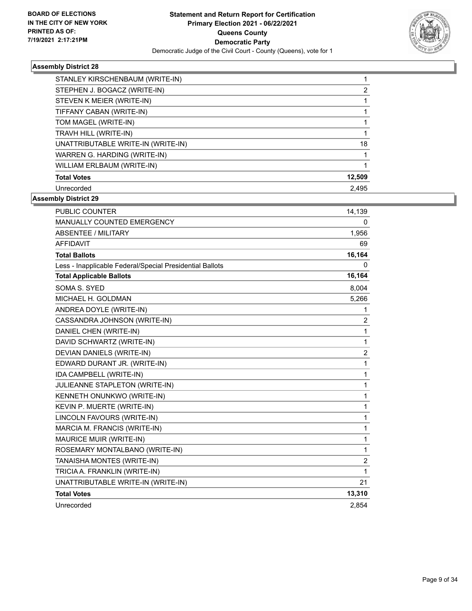

| STANLEY KIRSCHENBAUM (WRITE-IN)    |        |
|------------------------------------|--------|
| STEPHEN J. BOGACZ (WRITE-IN)       | 2      |
| STEVEN K MEIER (WRITE-IN)          |        |
| TIFFANY CABAN (WRITE-IN)           |        |
| TOM MAGEL (WRITE-IN)               |        |
| TRAVH HILL (WRITE-IN)              |        |
| UNATTRIBUTABLE WRITE-IN (WRITE-IN) | 18     |
| WARREN G. HARDING (WRITE-IN)       |        |
| WILLIAM ERLBAUM (WRITE-IN)         |        |
| <b>Total Votes</b>                 | 12,509 |
| Unrecorded                         | 2.495  |

| <b>PUBLIC COUNTER</b>                                    | 14,139         |
|----------------------------------------------------------|----------------|
| <b>MANUALLY COUNTED EMERGENCY</b>                        | 0              |
| <b>ABSENTEE / MILITARY</b>                               | 1,956          |
| <b>AFFIDAVIT</b>                                         | 69             |
| <b>Total Ballots</b>                                     | 16,164         |
| Less - Inapplicable Federal/Special Presidential Ballots | 0              |
| <b>Total Applicable Ballots</b>                          | 16,164         |
| SOMA S. SYED                                             | 8,004          |
| MICHAEL H. GOLDMAN                                       | 5,266          |
| ANDREA DOYLE (WRITE-IN)                                  | 1              |
| CASSANDRA JOHNSON (WRITE-IN)                             | $\overline{2}$ |
| DANIEL CHEN (WRITE-IN)                                   | 1              |
| DAVID SCHWARTZ (WRITE-IN)                                | $\mathbf{1}$   |
| DEVIAN DANIELS (WRITE-IN)                                | $\overline{2}$ |
| EDWARD DURANT JR. (WRITE-IN)                             | $\mathbf{1}$   |
| IDA CAMPBELL (WRITE-IN)                                  | $\mathbf{1}$   |
| JULIEANNE STAPLETON (WRITE-IN)                           | $\mathbf{1}$   |
| KENNETH ONUNKWO (WRITE-IN)                               | $\mathbf{1}$   |
| KEVIN P. MUERTE (WRITE-IN)                               | 1              |
| LINCOLN FAVOURS (WRITE-IN)                               | $\mathbf{1}$   |
| MARCIA M. FRANCIS (WRITE-IN)                             | $\mathbf{1}$   |
| MAURICE MUIR (WRITE-IN)                                  | 1              |
| ROSEMARY MONTALBANO (WRITE-IN)                           | $\mathbf{1}$   |
| TANAISHA MONTES (WRITE-IN)                               | $\overline{c}$ |
| TRICIA A. FRANKLIN (WRITE-IN)                            | $\mathbf 1$    |
| UNATTRIBUTABLE WRITE-IN (WRITE-IN)                       | 21             |
| <b>Total Votes</b>                                       | 13,310         |
| Unrecorded                                               | 2,854          |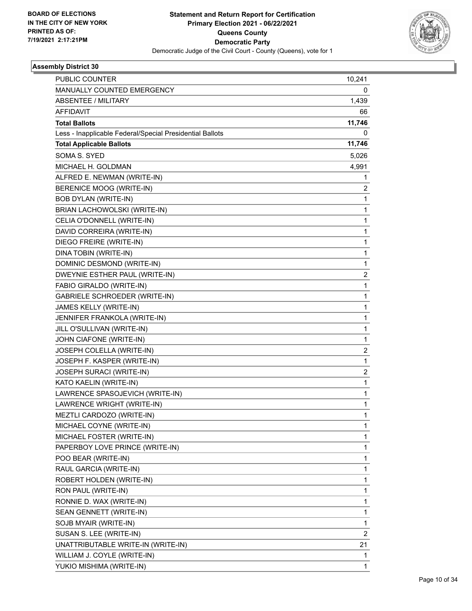

| PUBLIC COUNTER                                           | 10,241                  |
|----------------------------------------------------------|-------------------------|
| MANUALLY COUNTED EMERGENCY                               | 0                       |
| <b>ABSENTEE / MILITARY</b>                               | 1,439                   |
| AFFIDAVIT                                                | 66                      |
| <b>Total Ballots</b>                                     | 11,746                  |
| Less - Inapplicable Federal/Special Presidential Ballots | 0                       |
| <b>Total Applicable Ballots</b>                          | 11,746                  |
| <b>SOMA S. SYED</b>                                      | 5,026                   |
| MICHAEL H. GOLDMAN                                       | 4,991                   |
| ALFRED E. NEWMAN (WRITE-IN)                              | 1                       |
| BERENICE MOOG (WRITE-IN)                                 | 2                       |
| <b>BOB DYLAN (WRITE-IN)</b>                              | 1                       |
| BRIAN LACHOWOLSKI (WRITE-IN)                             | 1                       |
| CELIA O'DONNELL (WRITE-IN)                               | $\mathbf{1}$            |
| DAVID CORREIRA (WRITE-IN)                                | 1                       |
| DIEGO FREIRE (WRITE-IN)                                  | 1                       |
| DINA TOBIN (WRITE-IN)                                    | 1                       |
| DOMINIC DESMOND (WRITE-IN)                               | 1                       |
| DWEYNIE ESTHER PAUL (WRITE-IN)                           | $\overline{\mathbf{c}}$ |
| FABIO GIRALDO (WRITE-IN)                                 | $\mathbf{1}$            |
| <b>GABRIELE SCHROEDER (WRITE-IN)</b>                     | 1                       |
| JAMES KELLY (WRITE-IN)                                   | 1                       |
| JENNIFER FRANKOLA (WRITE-IN)                             | 1                       |
| JILL O'SULLIVAN (WRITE-IN)                               | 1                       |
| JOHN CIAFONE (WRITE-IN)                                  | 1                       |
| JOSEPH COLELLA (WRITE-IN)                                | $\overline{\mathbf{c}}$ |
| JOSEPH F. KASPER (WRITE-IN)                              | 1                       |
| JOSEPH SURACI (WRITE-IN)                                 | $\overline{\mathbf{c}}$ |
| KATO KAELIN (WRITE-IN)                                   | $\mathbf{1}$            |
| LAWRENCE SPASOJEVICH (WRITE-IN)                          | 1                       |
| LAWRENCE WRIGHT (WRITE-IN)                               | 1                       |
| MEZTLI CARDOZO (WRITE-IN)                                | 1                       |
| MICHAEL COYNE (WRITE-IN)                                 | 1                       |
| MICHAEL FOSTER (WRITE-IN)                                | 1                       |
| PAPERBOY LOVE PRINCE (WRITE-IN)                          | 1                       |
| POO BEAR (WRITE-IN)                                      | 1                       |
| RAUL GARCIA (WRITE-IN)                                   | 1                       |
| ROBERT HOLDEN (WRITE-IN)                                 | 1                       |
| RON PAUL (WRITE-IN)                                      | 1                       |
| RONNIE D. WAX (WRITE-IN)                                 | 1                       |
| SEAN GENNETT (WRITE-IN)                                  | 1                       |
| SOJB MYAIR (WRITE-IN)                                    | 1                       |
| SUSAN S. LEE (WRITE-IN)                                  | $\overline{c}$          |
| UNATTRIBUTABLE WRITE-IN (WRITE-IN)                       | 21                      |
| WILLIAM J. COYLE (WRITE-IN)                              | 1                       |
| YUKIO MISHIMA (WRITE-IN)                                 | $\mathbf{1}$            |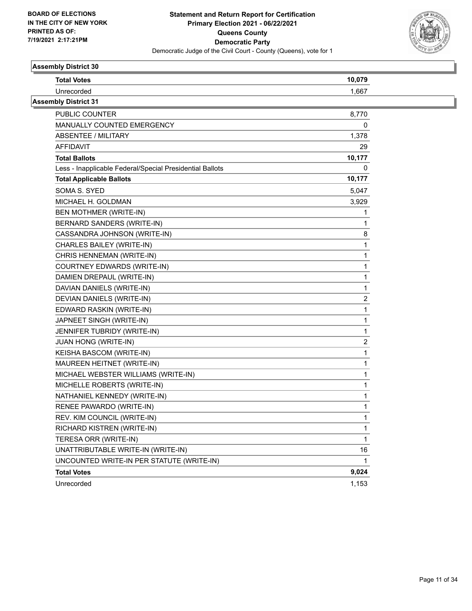

| <b>Total Votes</b>                                       | 10,079 |
|----------------------------------------------------------|--------|
| Unrecorded                                               | 1,667  |
| <b>Assembly District 31</b>                              |        |
| PUBLIC COUNTER                                           | 8,770  |
| MANUALLY COUNTED EMERGENCY                               | 0      |
| ABSENTEE / MILITARY                                      | 1,378  |
| AFFIDAVIT                                                | 29     |
| <b>Total Ballots</b>                                     | 10,177 |
| Less - Inapplicable Federal/Special Presidential Ballots | 0      |
| <b>Total Applicable Ballots</b>                          | 10,177 |
| SOMA S. SYED                                             | 5,047  |
| MICHAEL H. GOLDMAN                                       | 3,929  |
| BEN MOTHMER (WRITE-IN)                                   |        |
| BERNARD SANDERS (WRITE-IN)                               |        |
| CASSANDRA JOHNSON (WRITE-IN)                             | 8      |
| CHARLES BAILEY (WRITE-IN)                                | 1      |
| CHRIS HENNEMAN (WRITE-IN)                                |        |
| COURTNEY EDWARDS (WRITE-IN)                              |        |
| DAMIEN DREPAUL (WRITE-IN)                                | 1      |
| DAVIAN DANIELS (WRITE-IN)                                | 1      |
| DEVIAN DANIELS (WRITE-IN)                                | 2      |
| EDWARD RASKIN (WRITE-IN)                                 | 1      |
| JAPNEET SINGH (WRITE-IN)                                 | 1      |
| JENNIFER TUBRIDY (WRITE-IN)                              | 1      |
| <b>JUAN HONG (WRITE-IN)</b>                              | 2      |
| KEISHA BASCOM (WRITE-IN)                                 | 1      |
| MAUREEN HEITNET (WRITE-IN)                               |        |
| MICHAEL WEBSTER WILLIAMS (WRITE-IN)                      | 1      |
| MICHELLE ROBERTS (WRITE-IN)                              |        |
| NATHANIEL KENNEDY (WRITE-IN)                             |        |
| RENEE PAWARDO (WRITE-IN)                                 |        |
| REV. KIM COUNCIL (WRITE-IN)                              |        |
| RICHARD KISTREN (WRITE-IN)                               |        |
| TERESA ORR (WRITE-IN)                                    | 1      |
| UNATTRIBUTABLE WRITE-IN (WRITE-IN)                       | 16     |
| UNCOUNTED WRITE-IN PER STATUTE (WRITE-IN)                | 1      |
| <b>Total Votes</b>                                       | 9,024  |
| Unrecorded                                               | 1,153  |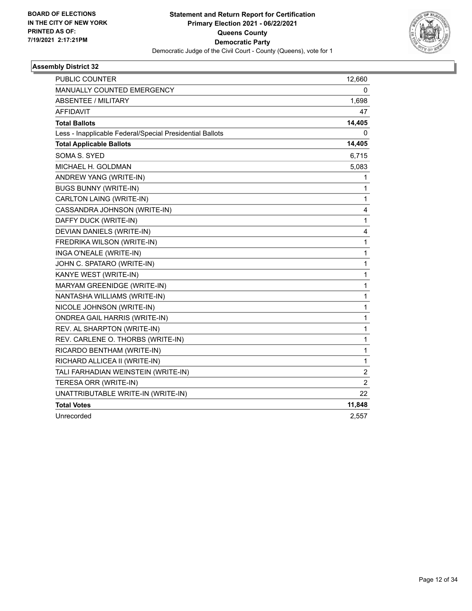

| <b>PUBLIC COUNTER</b>                                    | 12,660                  |
|----------------------------------------------------------|-------------------------|
| <b>MANUALLY COUNTED EMERGENCY</b>                        | 0                       |
| ABSENTEE / MILITARY                                      | 1,698                   |
| <b>AFFIDAVIT</b>                                         | 47                      |
| <b>Total Ballots</b>                                     | 14,405                  |
| Less - Inapplicable Federal/Special Presidential Ballots | 0                       |
| <b>Total Applicable Ballots</b>                          | 14,405                  |
| <b>SOMA S. SYED</b>                                      | 6,715                   |
| MICHAEL H. GOLDMAN                                       | 5,083                   |
| ANDREW YANG (WRITE-IN)                                   | 1                       |
| <b>BUGS BUNNY (WRITE-IN)</b>                             | 1                       |
| CARLTON LAING (WRITE-IN)                                 | 1                       |
| CASSANDRA JOHNSON (WRITE-IN)                             | 4                       |
| DAFFY DUCK (WRITE-IN)                                    | $\mathbf{1}$            |
| DEVIAN DANIELS (WRITE-IN)                                | 4                       |
| FREDRIKA WILSON (WRITE-IN)                               | 1                       |
| INGA O'NEALE (WRITE-IN)                                  | 1                       |
| JOHN C. SPATARO (WRITE-IN)                               | 1                       |
| KANYE WEST (WRITE-IN)                                    | 1                       |
| MARYAM GREENIDGE (WRITE-IN)                              | 1                       |
| NANTASHA WILLIAMS (WRITE-IN)                             | $\mathbf{1}$            |
| NICOLE JOHNSON (WRITE-IN)                                | $\mathbf{1}$            |
| <b>ONDREA GAIL HARRIS (WRITE-IN)</b>                     | 1                       |
| REV. AL SHARPTON (WRITE-IN)                              | 1                       |
| REV. CARLENE O. THORBS (WRITE-IN)                        | $\mathbf{1}$            |
| RICARDO BENTHAM (WRITE-IN)                               | 1                       |
| RICHARD ALLICEA II (WRITE-IN)                            | 1                       |
| TALI FARHADIAN WEINSTEIN (WRITE-IN)                      | $\overline{\mathbf{c}}$ |
| TERESA ORR (WRITE-IN)                                    | $\overline{2}$          |
| UNATTRIBUTABLE WRITE-IN (WRITE-IN)                       | 22                      |
| <b>Total Votes</b>                                       | 11,848                  |
| Unrecorded                                               | 2,557                   |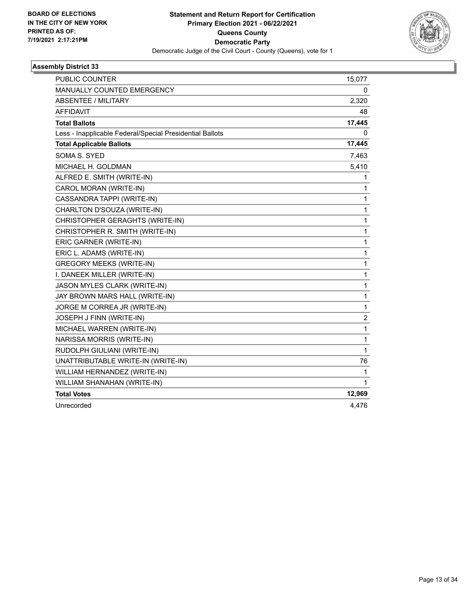

| PUBLIC COUNTER                                           | 15,077         |
|----------------------------------------------------------|----------------|
| MANUALLY COUNTED EMERGENCY                               | 0              |
| <b>ABSENTEE / MILITARY</b>                               | 2,320          |
| <b>AFFIDAVIT</b>                                         | 48             |
| <b>Total Ballots</b>                                     | 17,445         |
| Less - Inapplicable Federal/Special Presidential Ballots | 0              |
| <b>Total Applicable Ballots</b>                          | 17,445         |
| <b>SOMA S. SYED</b>                                      | 7,463          |
| MICHAEL H. GOLDMAN                                       | 5,410          |
| ALFRED E. SMITH (WRITE-IN)                               | 1              |
| CAROL MORAN (WRITE-IN)                                   | 1              |
| CASSANDRA TAPPI (WRITE-IN)                               | 1              |
| CHARLTON D'SOUZA (WRITE-IN)                              | $\mathbf{1}$   |
| CHRISTOPHER GERAGHTS (WRITE-IN)                          | $\mathbf 1$    |
| CHRISTOPHER R. SMITH (WRITE-IN)                          | 1              |
| ERIC GARNER (WRITE-IN)                                   | 1              |
| ERIC L. ADAMS (WRITE-IN)                                 | $\mathbf{1}$   |
| <b>GREGORY MEEKS (WRITE-IN)</b>                          | 1              |
| I. DANEEK MILLER (WRITE-IN)                              | $\mathbf 1$    |
| JASON MYLES CLARK (WRITE-IN)                             | 1              |
| JAY BROWN MARS HALL (WRITE-IN)                           | 1              |
| JORGE M CORREA JR (WRITE-IN)                             | $\mathbf{1}$   |
| JOSEPH J FINN (WRITE-IN)                                 | $\overline{c}$ |
| MICHAEL WARREN (WRITE-IN)                                | $\mathbf 1$    |
| NARISSA MORRIS (WRITE-IN)                                | 1              |
| RUDOLPH GIULIANI (WRITE-IN)                              | $\mathbf{1}$   |
| UNATTRIBUTABLE WRITE-IN (WRITE-IN)                       | 76             |
| WILLIAM HERNANDEZ (WRITE-IN)                             | 1              |
| WILLIAM SHANAHAN (WRITE-IN)                              | 1              |
| <b>Total Votes</b>                                       | 12,969         |
| Unrecorded                                               | 4,476          |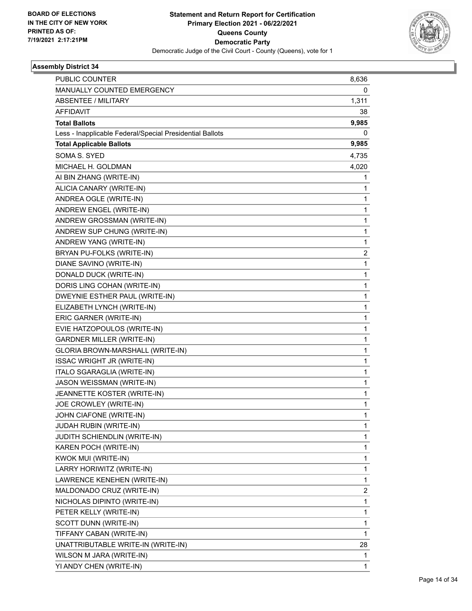

| PUBLIC COUNTER                                           | 8,636 |
|----------------------------------------------------------|-------|
| MANUALLY COUNTED EMERGENCY                               | 0     |
| ABSENTEE / MILITARY                                      | 1,311 |
| AFFIDAVIT                                                | 38    |
| <b>Total Ballots</b>                                     | 9,985 |
| Less - Inapplicable Federal/Special Presidential Ballots | 0     |
| <b>Total Applicable Ballots</b>                          | 9,985 |
| <b>SOMA S. SYED</b>                                      | 4,735 |
| MICHAEL H. GOLDMAN                                       | 4,020 |
| AI BIN ZHANG (WRITE-IN)                                  | 1     |
| ALICIA CANARY (WRITE-IN)                                 | 1     |
| ANDREA OGLE (WRITE-IN)                                   | 1     |
| ANDREW ENGEL (WRITE-IN)                                  | 1     |
| ANDREW GROSSMAN (WRITE-IN)                               | 1     |
| ANDREW SUP CHUNG (WRITE-IN)                              | 1     |
| ANDREW YANG (WRITE-IN)                                   | 1     |
| BRYAN PU-FOLKS (WRITE-IN)                                | 2     |
| DIANE SAVINO (WRITE-IN)                                  | 1     |
| DONALD DUCK (WRITE-IN)                                   | 1     |
| DORIS LING COHAN (WRITE-IN)                              | 1     |
| DWEYNIE ESTHER PAUL (WRITE-IN)                           | 1     |
| ELIZABETH LYNCH (WRITE-IN)                               | 1     |
| ERIC GARNER (WRITE-IN)                                   | 1     |
| EVIE HATZOPOULOS (WRITE-IN)                              | 1     |
| <b>GARDNER MILLER (WRITE-IN)</b>                         | 1     |
| GLORIA BROWN-MARSHALL (WRITE-IN)                         | 1     |
| <b>ISSAC WRIGHT JR (WRITE-IN)</b>                        | 1     |
| ITALO SGARAGLIA (WRITE-IN)                               | 1     |
| JASON WEISSMAN (WRITE-IN)                                | 1     |
| JEANNETTE KOSTER (WRITE-IN)                              | 1     |
| JOE CROWLEY (WRITE-IN)                                   | 1     |
| JOHN CIAFONE (WRITE-IN)                                  | 1     |
| <b>JUDAH RUBIN (WRITE-IN)</b>                            | 1     |
| JUDITH SCHIENDLIN (WRITE-IN)                             | 1     |
| KAREN POCH (WRITE-IN)                                    | 1     |
| KWOK MUI (WRITE-IN)                                      | 1     |
| LARRY HORIWITZ (WRITE-IN)                                | 1     |
| LAWRENCE KENEHEN (WRITE-IN)                              | 1     |
| MALDONADO CRUZ (WRITE-IN)                                | 2     |
| NICHOLAS DIPINTO (WRITE-IN)                              | 1     |
| PETER KELLY (WRITE-IN)                                   | 1     |
| SCOTT DUNN (WRITE-IN)                                    | 1     |
| TIFFANY CABAN (WRITE-IN)                                 | 1     |
| UNATTRIBUTABLE WRITE-IN (WRITE-IN)                       | 28    |
| WILSON M JARA (WRITE-IN)                                 | 1     |
| YI ANDY CHEN (WRITE-IN)                                  | 1     |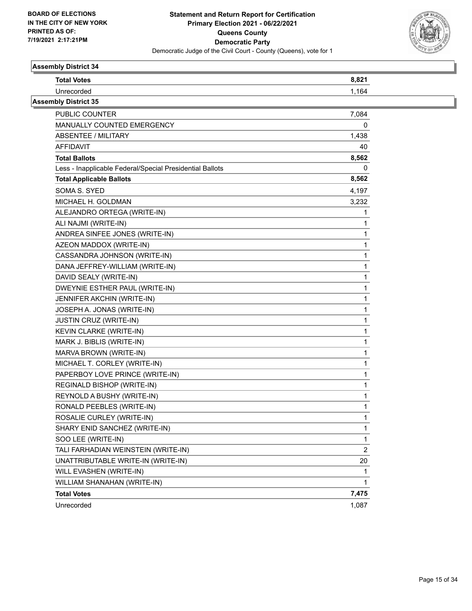

| <b>Total Votes</b>                                       | 8,821          |  |
|----------------------------------------------------------|----------------|--|
| Unrecorded                                               | 1,164          |  |
| <b>Assembly District 35</b>                              |                |  |
| PUBLIC COUNTER                                           | 7,084          |  |
| MANUALLY COUNTED EMERGENCY                               | 0              |  |
| ABSENTEE / MILITARY                                      | 1,438          |  |
| AFFIDAVIT                                                | 40             |  |
| <b>Total Ballots</b>                                     | 8,562          |  |
| Less - Inapplicable Federal/Special Presidential Ballots | 0              |  |
| <b>Total Applicable Ballots</b>                          | 8,562          |  |
| SOMA S. SYED                                             | 4,197          |  |
| MICHAEL H. GOLDMAN                                       | 3,232          |  |
| ALEJANDRO ORTEGA (WRITE-IN)                              | 1              |  |
| ALI NAJMI (WRITE-IN)                                     |                |  |
| ANDREA SINFEE JONES (WRITE-IN)                           |                |  |
| AZEON MADDOX (WRITE-IN)                                  | 1              |  |
| CASSANDRA JOHNSON (WRITE-IN)                             | 1              |  |
| DANA JEFFREY-WILLIAM (WRITE-IN)                          |                |  |
| DAVID SEALY (WRITE-IN)                                   | 1              |  |
| DWEYNIE ESTHER PAUL (WRITE-IN)                           | 1              |  |
| JENNIFER AKCHIN (WRITE-IN)                               |                |  |
| JOSEPH A. JONAS (WRITE-IN)                               | 1              |  |
| JUSTIN CRUZ (WRITE-IN)                                   | 1              |  |
| KEVIN CLARKE (WRITE-IN)                                  |                |  |
| MARK J. BIBLIS (WRITE-IN)                                | 1              |  |
| MARVA BROWN (WRITE-IN)                                   | 1              |  |
| MICHAEL T. CORLEY (WRITE-IN)                             |                |  |
| PAPERBOY LOVE PRINCE (WRITE-IN)                          | 1              |  |
| REGINALD BISHOP (WRITE-IN)                               | 1              |  |
| REYNOLD A BUSHY (WRITE-IN)                               |                |  |
| RONALD PEEBLES (WRITE-IN)                                | 1              |  |
| ROSALIE CURLEY (WRITE-IN)                                |                |  |
| SHARY ENID SANCHEZ (WRITE-IN)                            | 1              |  |
| SOO LEE (WRITE-IN)                                       | 1              |  |
| TALI FARHADIAN WEINSTEIN (WRITE-IN)                      | $\overline{c}$ |  |
| UNATTRIBUTABLE WRITE-IN (WRITE-IN)                       | 20             |  |
| WILL EVASHEN (WRITE-IN)                                  | 1              |  |
| WILLIAM SHANAHAN (WRITE-IN)                              | 1              |  |
| <b>Total Votes</b>                                       | 7,475          |  |
| Unrecorded                                               | 1,087          |  |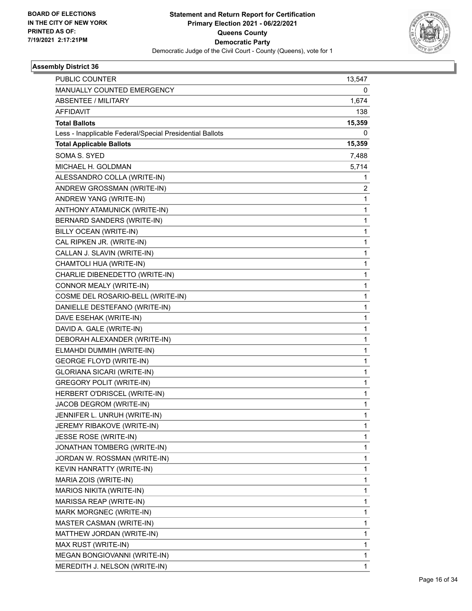

| PUBLIC COUNTER                                           | 13,547 |
|----------------------------------------------------------|--------|
| MANUALLY COUNTED EMERGENCY                               | 0      |
| <b>ABSENTEE / MILITARY</b>                               | 1,674  |
| <b>AFFIDAVIT</b>                                         | 138    |
| <b>Total Ballots</b>                                     | 15,359 |
| Less - Inapplicable Federal/Special Presidential Ballots | 0      |
| <b>Total Applicable Ballots</b>                          | 15,359 |
| SOMA S. SYED                                             | 7,488  |
| MICHAEL H. GOLDMAN                                       | 5,714  |
| ALESSANDRO COLLA (WRITE-IN)                              | 1      |
| ANDREW GROSSMAN (WRITE-IN)                               | 2      |
| ANDREW YANG (WRITE-IN)                                   | 1      |
| ANTHONY ATAMUNICK (WRITE-IN)                             | 1      |
| BERNARD SANDERS (WRITE-IN)                               | 1      |
| BILLY OCEAN (WRITE-IN)                                   | 1      |
| CAL RIPKEN JR. (WRITE-IN)                                | 1      |
| CALLAN J. SLAVIN (WRITE-IN)                              | 1      |
| CHAMTOLI HUA (WRITE-IN)                                  | 1      |
| CHARLIE DIBENEDETTO (WRITE-IN)                           | 1      |
| CONNOR MEALY (WRITE-IN)                                  | 1      |
| COSME DEL ROSARIO-BELL (WRITE-IN)                        | 1      |
| DANIELLE DESTEFANO (WRITE-IN)                            | 1      |
| DAVE ESEHAK (WRITE-IN)                                   | 1      |
| DAVID A. GALE (WRITE-IN)                                 | 1      |
| DEBORAH ALEXANDER (WRITE-IN)                             | 1      |
| ELMAHDI DUMMIH (WRITE-IN)                                | 1      |
| <b>GEORGE FLOYD (WRITE-IN)</b>                           | 1      |
| GLORIANA SICARI (WRITE-IN)                               | 1      |
| <b>GREGORY POLIT (WRITE-IN)</b>                          | 1      |
| HERBERT O'DRISCEL (WRITE-IN)                             | 1      |
| JACOB DEGROM (WRITE-IN)                                  | 1      |
| JENNIFER L. UNRUH (WRITE-IN)                             | 1      |
| JEREMY RIBAKOVE (WRITE-IN)                               | 1      |
| JESSE ROSE (WRITE-IN)                                    | 1      |
| JONATHAN TOMBERG (WRITE-IN)                              | 1      |
| JORDAN W. ROSSMAN (WRITE-IN)                             | 1      |
| KEVIN HANRATTY (WRITE-IN)                                | 1      |
| MARIA ZOIS (WRITE-IN)                                    | 1      |
| MARIOS NIKITA (WRITE-IN)                                 | 1      |
| MARISSA REAP (WRITE-IN)                                  | 1      |
| MARK MORGNEC (WRITE-IN)                                  | 1      |
| MASTER CASMAN (WRITE-IN)                                 | 1      |
| MATTHEW JORDAN (WRITE-IN)                                | 1      |
| MAX RUST (WRITE-IN)                                      | 1      |
| MEGAN BONGIOVANNI (WRITE-IN)                             | 1      |
| MEREDITH J. NELSON (WRITE-IN)                            | 1      |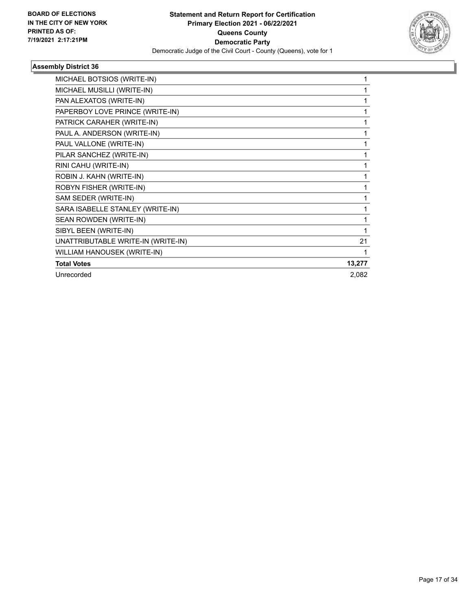

| MICHAEL BOTSIOS (WRITE-IN)         |        |
|------------------------------------|--------|
| MICHAEL MUSILLI (WRITE-IN)         |        |
| PAN ALEXATOS (WRITE-IN)            | 1      |
| PAPERBOY LOVE PRINCE (WRITE-IN)    | 1      |
| PATRICK CARAHER (WRITE-IN)         |        |
| PAUL A. ANDERSON (WRITE-IN)        | 1      |
| PAUL VALLONE (WRITE-IN)            | 1      |
| PILAR SANCHEZ (WRITE-IN)           |        |
| RINI CAHU (WRITE-IN)               | 1      |
| ROBIN J. KAHN (WRITE-IN)           | 1      |
| ROBYN FISHER (WRITE-IN)            |        |
| SAM SEDER (WRITE-IN)               | 1      |
| SARA ISABELLE STANLEY (WRITE-IN)   | 1      |
| SEAN ROWDEN (WRITE-IN)             |        |
| SIBYL BEEN (WRITE-IN)              |        |
| UNATTRIBUTABLE WRITE-IN (WRITE-IN) | 21     |
| WILLIAM HANOUSEK (WRITE-IN)        |        |
| <b>Total Votes</b>                 | 13,277 |
| Unrecorded                         | 2,082  |
|                                    |        |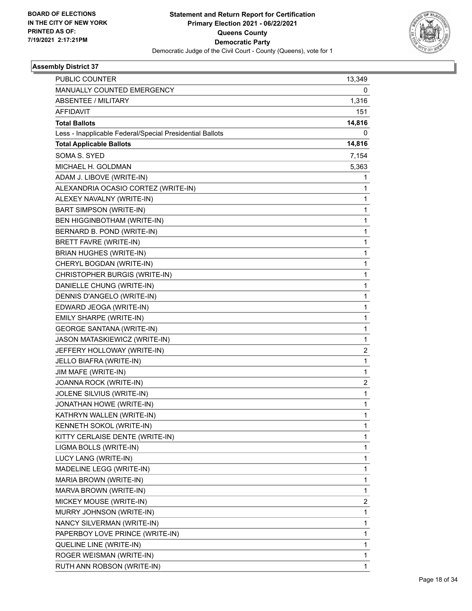

| PUBLIC COUNTER                                           | 13,349 |
|----------------------------------------------------------|--------|
| MANUALLY COUNTED EMERGENCY                               | 0      |
| ABSENTEE / MILITARY                                      | 1,316  |
| AFFIDAVIT                                                | 151    |
| <b>Total Ballots</b>                                     | 14,816 |
| Less - Inapplicable Federal/Special Presidential Ballots | 0      |
| <b>Total Applicable Ballots</b>                          | 14,816 |
| SOMA S. SYED                                             | 7,154  |
| MICHAEL H. GOLDMAN                                       | 5,363  |
| ADAM J. LIBOVE (WRITE-IN)                                | 1      |
| ALEXANDRIA OCASIO CORTEZ (WRITE-IN)                      | 1      |
| ALEXEY NAVALNY (WRITE-IN)                                | 1      |
| BART SIMPSON (WRITE-IN)                                  | 1      |
| BEN HIGGINBOTHAM (WRITE-IN)                              | 1      |
| BERNARD B. POND (WRITE-IN)                               | 1      |
| BRETT FAVRE (WRITE-IN)                                   | 1      |
| <b>BRIAN HUGHES (WRITE-IN)</b>                           | 1      |
| CHERYL BOGDAN (WRITE-IN)                                 | 1      |
| CHRISTOPHER BURGIS (WRITE-IN)                            | 1      |
| DANIELLE CHUNG (WRITE-IN)                                | 1      |
| DENNIS D'ANGELO (WRITE-IN)                               | 1      |
| EDWARD JEOGA (WRITE-IN)                                  | 1      |
| EMILY SHARPE (WRITE-IN)                                  | 1      |
| <b>GEORGE SANTANA (WRITE-IN)</b>                         | 1      |
| JASON MATASKIEWICZ (WRITE-IN)                            | 1      |
| JEFFERY HOLLOWAY (WRITE-IN)                              | 2      |
| JELLO BIAFRA (WRITE-IN)                                  | 1      |
| JIM MAFE (WRITE-IN)                                      | 1      |
| JOANNA ROCK (WRITE-IN)                                   | 2      |
| JOLENE SILVIUS (WRITE-IN)                                | 1      |
| JONATHAN HOWE (WRITE-IN)                                 | 1      |
| KATHRYN WALLEN (WRITE-IN)                                | 1      |
| KENNETH SOKOL (WRITE-IN)                                 | 1      |
| KITTY CERLAISE DENTE (WRITE-IN)                          | 1      |
| LIGMA BOLLS (WRITE-IN)                                   | 1      |
| LUCY LANG (WRITE-IN)                                     | 1      |
| MADELINE LEGG (WRITE-IN)                                 | 1      |
| MARIA BROWN (WRITE-IN)                                   | 1      |
| MARVA BROWN (WRITE-IN)                                   | 1      |
| MICKEY MOUSE (WRITE-IN)                                  | 2      |
| MURRY JOHNSON (WRITE-IN)                                 | 1      |
| NANCY SILVERMAN (WRITE-IN)                               | 1      |
| PAPERBOY LOVE PRINCE (WRITE-IN)                          | 1      |
| QUELINE LINE (WRITE-IN)                                  | 1      |
| ROGER WEISMAN (WRITE-IN)                                 | 1      |
| RUTH ANN ROBSON (WRITE-IN)                               | 1      |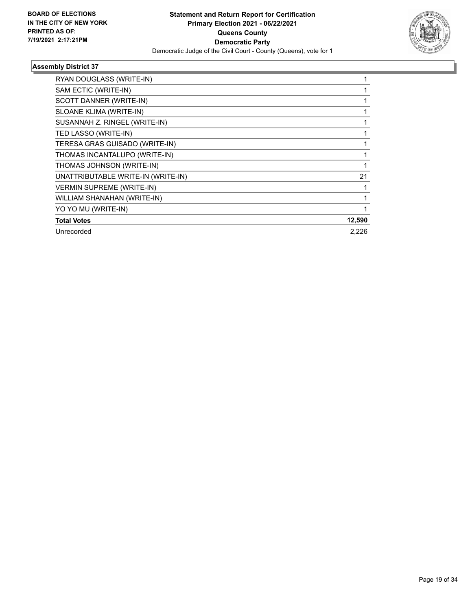

| RYAN DOUGLASS (WRITE-IN)           |        |
|------------------------------------|--------|
| SAM ECTIC (WRITE-IN)               |        |
| SCOTT DANNER (WRITE-IN)            |        |
| SLOANE KLIMA (WRITE-IN)            |        |
| SUSANNAH Z. RINGEL (WRITE-IN)      |        |
| TED LASSO (WRITE-IN)               |        |
| TERESA GRAS GUISADO (WRITE-IN)     |        |
| THOMAS INCANTALUPO (WRITE-IN)      |        |
| THOMAS JOHNSON (WRITE-IN)          |        |
| UNATTRIBUTABLE WRITE-IN (WRITE-IN) | 21     |
| <b>VERMIN SUPREME (WRITE-IN)</b>   |        |
| WILLIAM SHANAHAN (WRITE-IN)        |        |
| YO YO MU (WRITE-IN)                |        |
| <b>Total Votes</b>                 | 12,590 |
| Unrecorded                         | 2,226  |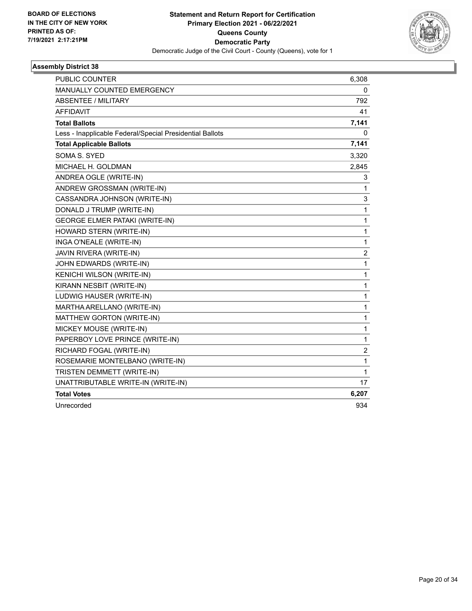

| <b>PUBLIC COUNTER</b>                                    | 6,308            |
|----------------------------------------------------------|------------------|
| MANUALLY COUNTED EMERGENCY                               | 0                |
| <b>ABSENTEE / MILITARY</b>                               | 792              |
| <b>AFFIDAVIT</b>                                         | 41               |
| <b>Total Ballots</b>                                     | 7,141            |
| Less - Inapplicable Federal/Special Presidential Ballots | 0                |
| <b>Total Applicable Ballots</b>                          | 7,141            |
| SOMA S. SYED                                             | 3,320            |
| MICHAEL H. GOLDMAN                                       | 2,845            |
| ANDREA OGLE (WRITE-IN)                                   | 3                |
| ANDREW GROSSMAN (WRITE-IN)                               | 1                |
| CASSANDRA JOHNSON (WRITE-IN)                             | 3                |
| DONALD J TRUMP (WRITE-IN)                                | 1                |
| <b>GEORGE ELMER PATAKI (WRITE-IN)</b>                    | $\mathbf 1$      |
| HOWARD STERN (WRITE-IN)                                  | $\mathbf{1}$     |
| INGA O'NEALE (WRITE-IN)                                  | 1                |
| JAVIN RIVERA (WRITE-IN)                                  | $\boldsymbol{2}$ |
| JOHN EDWARDS (WRITE-IN)                                  | 1                |
| KENICHI WILSON (WRITE-IN)                                | $\mathbf{1}$     |
| KIRANN NESBIT (WRITE-IN)                                 | 1                |
| LUDWIG HAUSER (WRITE-IN)                                 | 1                |
| MARTHA ARELLANO (WRITE-IN)                               | $\mathbf 1$      |
| MATTHEW GORTON (WRITE-IN)                                | $\mathbf{1}$     |
| MICKEY MOUSE (WRITE-IN)                                  | 1                |
| PAPERBOY LOVE PRINCE (WRITE-IN)                          | 1                |
| RICHARD FOGAL (WRITE-IN)                                 | $\overline{c}$   |
| ROSEMARIE MONTELBANO (WRITE-IN)                          | $\mathbf{1}$     |
| TRISTEN DEMMETT (WRITE-IN)                               | $\mathbf{1}$     |
| UNATTRIBUTABLE WRITE-IN (WRITE-IN)                       | 17               |
| <b>Total Votes</b>                                       | 6,207            |
| Unrecorded                                               | 934              |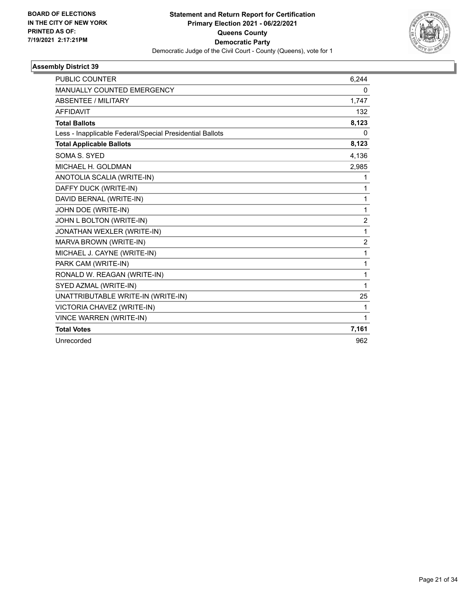

| <b>PUBLIC COUNTER</b>                                    | 6.244          |
|----------------------------------------------------------|----------------|
| <b>MANUALLY COUNTED EMERGENCY</b>                        | 0              |
| ABSENTEE / MILITARY                                      | 1,747          |
| <b>AFFIDAVIT</b>                                         | 132            |
| <b>Total Ballots</b>                                     | 8,123          |
| Less - Inapplicable Federal/Special Presidential Ballots | 0              |
| <b>Total Applicable Ballots</b>                          | 8,123          |
| SOMA S. SYED                                             | 4,136          |
| MICHAEL H. GOLDMAN                                       | 2,985          |
| ANOTOLIA SCALIA (WRITE-IN)                               | 1              |
| DAFFY DUCK (WRITE-IN)                                    | 1              |
| DAVID BERNAL (WRITE-IN)                                  | 1              |
| JOHN DOE (WRITE-IN)                                      | 1              |
| JOHN L BOLTON (WRITE-IN)                                 | $\overline{c}$ |
| JONATHAN WEXLER (WRITE-IN)                               | $\mathbf{1}$   |
| MARVA BROWN (WRITE-IN)                                   | $\overline{c}$ |
| MICHAEL J. CAYNE (WRITE-IN)                              | $\mathbf{1}$   |
| PARK CAM (WRITE-IN)                                      | 1              |
| RONALD W. REAGAN (WRITE-IN)                              | 1              |
| SYED AZMAL (WRITE-IN)                                    | 1              |
| UNATTRIBUTABLE WRITE-IN (WRITE-IN)                       | 25             |
| VICTORIA CHAVEZ (WRITE-IN)                               | 1              |
| <b>VINCE WARREN (WRITE-IN)</b>                           | $\mathbf{1}$   |
| <b>Total Votes</b>                                       | 7,161          |
| Unrecorded                                               | 962            |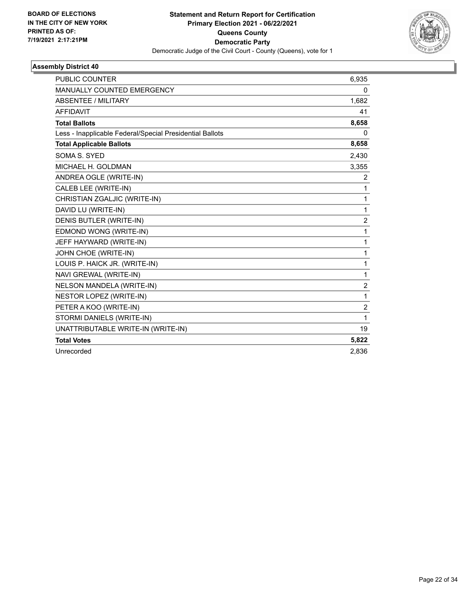

| <b>PUBLIC COUNTER</b>                                    | 6,935          |
|----------------------------------------------------------|----------------|
| MANUALLY COUNTED EMERGENCY                               | 0              |
| <b>ABSENTEE / MILITARY</b>                               | 1,682          |
| <b>AFFIDAVIT</b>                                         | 41             |
| <b>Total Ballots</b>                                     | 8,658          |
| Less - Inapplicable Federal/Special Presidential Ballots | 0              |
| <b>Total Applicable Ballots</b>                          | 8,658          |
| SOMA S. SYED                                             | 2,430          |
| MICHAEL H. GOLDMAN                                       | 3,355          |
| ANDREA OGLE (WRITE-IN)                                   | 2              |
| CALEB LEE (WRITE-IN)                                     | 1              |
| CHRISTIAN ZGALJIC (WRITE-IN)                             | $\mathbf{1}$   |
| DAVID LU (WRITE-IN)                                      | 1              |
| DENIS BUTLER (WRITE-IN)                                  | $\overline{2}$ |
| EDMOND WONG (WRITE-IN)                                   | $\mathbf{1}$   |
| JEFF HAYWARD (WRITE-IN)                                  | 1              |
| JOHN CHOE (WRITE-IN)                                     | 1              |
| LOUIS P. HAICK JR. (WRITE-IN)                            | 1              |
| NAVI GREWAL (WRITE-IN)                                   | $\mathbf{1}$   |
| NELSON MANDELA (WRITE-IN)                                | $\overline{c}$ |
| NESTOR LOPEZ (WRITE-IN)                                  | 1              |
| PETER A KOO (WRITE-IN)                                   | $\overline{2}$ |
| STORMI DANIELS (WRITE-IN)                                | 1              |
| UNATTRIBUTABLE WRITE-IN (WRITE-IN)                       | 19             |
| <b>Total Votes</b>                                       | 5,822          |
| Unrecorded                                               | 2.836          |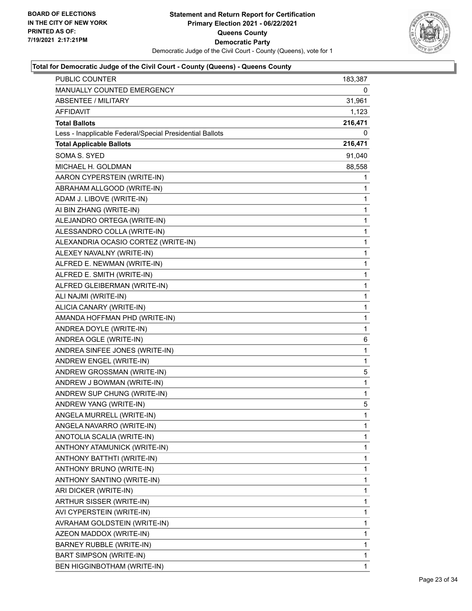

| PUBLIC COUNTER                                           | 183,387 |
|----------------------------------------------------------|---------|
| MANUALLY COUNTED EMERGENCY                               | 0       |
| <b>ABSENTEE / MILITARY</b>                               | 31,961  |
| AFFIDAVIT                                                | 1,123   |
| <b>Total Ballots</b>                                     | 216,471 |
| Less - Inapplicable Federal/Special Presidential Ballots | 0       |
| <b>Total Applicable Ballots</b>                          | 216,471 |
| SOMA S. SYED                                             | 91,040  |
| MICHAEL H. GOLDMAN                                       | 88,558  |
| AARON CYPERSTEIN (WRITE-IN)                              | 1       |
| ABRAHAM ALLGOOD (WRITE-IN)                               | 1       |
| ADAM J. LIBOVE (WRITE-IN)                                | 1       |
| AI BIN ZHANG (WRITE-IN)                                  | 1       |
| ALEJANDRO ORTEGA (WRITE-IN)                              | 1       |
| ALESSANDRO COLLA (WRITE-IN)                              | 1       |
| ALEXANDRIA OCASIO CORTEZ (WRITE-IN)                      | 1       |
| ALEXEY NAVALNY (WRITE-IN)                                | 1       |
| ALFRED E. NEWMAN (WRITE-IN)                              | 1       |
| ALFRED E. SMITH (WRITE-IN)                               | 1       |
| ALFRED GLEIBERMAN (WRITE-IN)                             | 1       |
| ALI NAJMI (WRITE-IN)                                     | 1       |
| ALICIA CANARY (WRITE-IN)                                 | 1       |
| AMANDA HOFFMAN PHD (WRITE-IN)                            | 1       |
| ANDREA DOYLE (WRITE-IN)                                  | 1       |
| ANDREA OGLE (WRITE-IN)                                   | 6       |
| ANDREA SINFEE JONES (WRITE-IN)                           | 1       |
| ANDREW ENGEL (WRITE-IN)                                  | 1       |
| ANDREW GROSSMAN (WRITE-IN)                               | 5       |
| ANDREW J BOWMAN (WRITE-IN)                               | 1       |
| ANDREW SUP CHUNG (WRITE-IN)                              | 1       |
| ANDREW YANG (WRITE-IN)                                   | 5       |
| ANGELA MURRELL (WRITE-IN)                                | 1       |
| ANGELA NAVARRO (WRITE-IN)                                | 1       |
| ANOTOLIA SCALIA (WRITE-IN)                               | 1       |
| ANTHONY ATAMUNICK (WRITE-IN)                             | 1       |
| ANTHONY BATTHTI (WRITE-IN)                               | 1       |
| ANTHONY BRUNO (WRITE-IN)                                 | 1       |
| ANTHONY SANTINO (WRITE-IN)                               | 1       |
| ARI DICKER (WRITE-IN)                                    | 1       |
| ARTHUR SISSER (WRITE-IN)                                 | 1       |
| AVI CYPERSTEIN (WRITE-IN)                                | 1       |
| AVRAHAM GOLDSTEIN (WRITE-IN)                             | 1       |
| AZEON MADDOX (WRITE-IN)                                  | 1       |
| BARNEY RUBBLE (WRITE-IN)                                 | 1       |
| BART SIMPSON (WRITE-IN)                                  | 1       |
| BEN HIGGINBOTHAM (WRITE-IN)                              | 1       |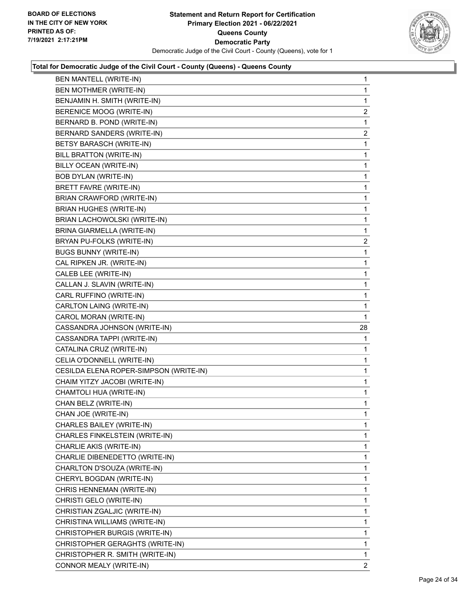

| <b>BEN MANTELL (WRITE-IN)</b>          | 1              |
|----------------------------------------|----------------|
| BEN MOTHMER (WRITE-IN)                 | 1              |
| BENJAMIN H. SMITH (WRITE-IN)           | 1              |
| BERENICE MOOG (WRITE-IN)               | $\overline{2}$ |
| BERNARD B. POND (WRITE-IN)             | 1              |
| BERNARD SANDERS (WRITE-IN)             | $\overline{c}$ |
| BETSY BARASCH (WRITE-IN)               | 1              |
| <b>BILL BRATTON (WRITE-IN)</b>         | 1              |
| BILLY OCEAN (WRITE-IN)                 | 1              |
| <b>BOB DYLAN (WRITE-IN)</b>            | 1              |
| BRETT FAVRE (WRITE-IN)                 | 1              |
| BRIAN CRAWFORD (WRITE-IN)              | 1              |
| <b>BRIAN HUGHES (WRITE-IN)</b>         | 1              |
| BRIAN LACHOWOLSKI (WRITE-IN)           | 1              |
| <b>BRINA GIARMELLA (WRITE-IN)</b>      | 1              |
| BRYAN PU-FOLKS (WRITE-IN)              | $\overline{2}$ |
| <b>BUGS BUNNY (WRITE-IN)</b>           | 1              |
| CAL RIPKEN JR. (WRITE-IN)              | 1              |
| CALEB LEE (WRITE-IN)                   | 1              |
| CALLAN J. SLAVIN (WRITE-IN)            | 1              |
| CARL RUFFINO (WRITE-IN)                | 1              |
| CARLTON LAING (WRITE-IN)               | 1              |
| CAROL MORAN (WRITE-IN)                 | 1              |
| CASSANDRA JOHNSON (WRITE-IN)           | 28             |
| CASSANDRA TAPPI (WRITE-IN)             | 1              |
| CATALINA CRUZ (WRITE-IN)               | 1              |
| CELIA O'DONNELL (WRITE-IN)             | 1              |
| CESILDA ELENA ROPER-SIMPSON (WRITE-IN) | 1              |
| CHAIM YITZY JACOBI (WRITE-IN)          | 1              |
| CHAMTOLI HUA (WRITE-IN)                | 1              |
| CHAN BELZ (WRITE-IN)                   | 1              |
| CHAN JOE (WRITE-IN)                    | 1              |
| CHARLES BAILEY (WRITE-IN)              | 1              |
| CHARLES FINKELSTEIN (WRITE-IN)         | 1              |
| CHARLIE AKIS (WRITE-IN)                | 1              |
| CHARLIE DIBENEDETTO (WRITE-IN)         | 1              |
| CHARLTON D'SOUZA (WRITE-IN)            | 1              |
| CHERYL BOGDAN (WRITE-IN)               | 1              |
|                                        |                |
| CHRIS HENNEMAN (WRITE-IN)              | 1              |
| CHRISTI GELO (WRITE-IN)                | 1              |
| CHRISTIAN ZGALJIC (WRITE-IN)           | 1              |
| CHRISTINA WILLIAMS (WRITE-IN)          | 1              |
| CHRISTOPHER BURGIS (WRITE-IN)          | 1              |
| CHRISTOPHER GERAGHTS (WRITE-IN)        | 1              |
| CHRISTOPHER R. SMITH (WRITE-IN)        | 1              |
| CONNOR MEALY (WRITE-IN)                | 2              |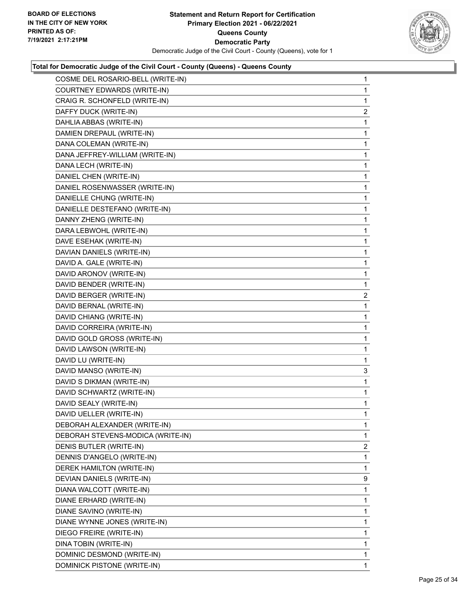

| COSME DEL ROSARIO-BELL (WRITE-IN) | $\mathbf{1}$   |
|-----------------------------------|----------------|
| COURTNEY EDWARDS (WRITE-IN)       | $\mathbf{1}$   |
| CRAIG R. SCHONFELD (WRITE-IN)     | 1              |
| DAFFY DUCK (WRITE-IN)             | 2              |
| DAHLIA ABBAS (WRITE-IN)           | 1              |
| DAMIEN DREPAUL (WRITE-IN)         | $\mathbf{1}$   |
| DANA COLEMAN (WRITE-IN)           | 1              |
| DANA JEFFREY-WILLIAM (WRITE-IN)   | $\mathbf{1}$   |
| DANA LECH (WRITE-IN)              | 1              |
| DANIEL CHEN (WRITE-IN)            | 1              |
| DANIEL ROSENWASSER (WRITE-IN)     | 1              |
| DANIELLE CHUNG (WRITE-IN)         | $\mathbf{1}$   |
| DANIELLE DESTEFANO (WRITE-IN)     | 1              |
| DANNY ZHENG (WRITE-IN)            | $\mathbf{1}$   |
| DARA LEBWOHL (WRITE-IN)           | 1              |
| DAVE ESEHAK (WRITE-IN)            | 1              |
| DAVIAN DANIELS (WRITE-IN)         | 1              |
| DAVID A. GALE (WRITE-IN)          | $\mathbf{1}$   |
| DAVID ARONOV (WRITE-IN)           | 1              |
| DAVID BENDER (WRITE-IN)           | $\mathbf{1}$   |
| DAVID BERGER (WRITE-IN)           | $\overline{2}$ |
| DAVID BERNAL (WRITE-IN)           | 1              |
| DAVID CHIANG (WRITE-IN)           | 1              |
| DAVID CORREIRA (WRITE-IN)         | $\mathbf{1}$   |
| DAVID GOLD GROSS (WRITE-IN)       | 1              |
| DAVID LAWSON (WRITE-IN)           | $\mathbf{1}$   |
| DAVID LU (WRITE-IN)               | 1              |
| DAVID MANSO (WRITE-IN)            | 3              |
| DAVID S DIKMAN (WRITE-IN)         | 1              |
| DAVID SCHWARTZ (WRITE-IN)         | $\mathbf{1}$   |
| DAVID SEALY (WRITE-IN)            | 1              |
| DAVID UELLER (WRITE-IN)           | $\mathbf{1}$   |
| DEBORAH ALEXANDER (WRITE-IN)      | 1              |
| DEBORAH STEVENS-MODICA (WRITE-IN) | 1              |
| DENIS BUTLER (WRITE-IN)           | $\overline{c}$ |
| DENNIS D'ANGELO (WRITE-IN)        | 1              |
| DEREK HAMILTON (WRITE-IN)         | 1              |
| DEVIAN DANIELS (WRITE-IN)         | 9              |
| DIANA WALCOTT (WRITE-IN)          | 1              |
| DIANE ERHARD (WRITE-IN)           | 1              |
| DIANE SAVINO (WRITE-IN)           | 1              |
| DIANE WYNNE JONES (WRITE-IN)      | 1              |
| DIEGO FREIRE (WRITE-IN)           | 1              |
| DINA TOBIN (WRITE-IN)             | $\mathbf{1}$   |
| DOMINIC DESMOND (WRITE-IN)        | $\mathbf{1}$   |
| DOMINICK PISTONE (WRITE-IN)       | 1              |
|                                   |                |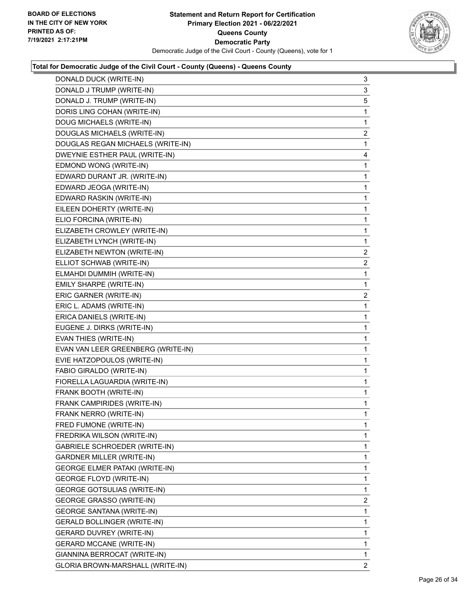

| DONALD DUCK (WRITE-IN)                | 3                       |
|---------------------------------------|-------------------------|
| DONALD J TRUMP (WRITE-IN)             | 3                       |
| DONALD J. TRUMP (WRITE-IN)            | 5                       |
| DORIS LING COHAN (WRITE-IN)           | 1                       |
| DOUG MICHAELS (WRITE-IN)              | 1                       |
| DOUGLAS MICHAELS (WRITE-IN)           | $\overline{\mathbf{c}}$ |
| DOUGLAS REGAN MICHAELS (WRITE-IN)     | 1                       |
| DWEYNIE ESTHER PAUL (WRITE-IN)        | 4                       |
| EDMOND WONG (WRITE-IN)                | 1                       |
| EDWARD DURANT JR. (WRITE-IN)          | 1                       |
| EDWARD JEOGA (WRITE-IN)               | 1                       |
| EDWARD RASKIN (WRITE-IN)              | 1                       |
| EILEEN DOHERTY (WRITE-IN)             | 1                       |
| ELIO FORCINA (WRITE-IN)               | 1                       |
| ELIZABETH CROWLEY (WRITE-IN)          | $\mathbf{1}$            |
| ELIZABETH LYNCH (WRITE-IN)            | 1                       |
| ELIZABETH NEWTON (WRITE-IN)           | 2                       |
| ELLIOT SCHWAB (WRITE-IN)              | 2                       |
| ELMAHDI DUMMIH (WRITE-IN)             | 1                       |
| EMILY SHARPE (WRITE-IN)               | 1                       |
| ERIC GARNER (WRITE-IN)                | $\overline{\mathbf{c}}$ |
| ERIC L. ADAMS (WRITE-IN)              | 1                       |
| ERICA DANIELS (WRITE-IN)              | 1                       |
| EUGENE J. DIRKS (WRITE-IN)            | 1                       |
| EVAN THIES (WRITE-IN)                 | 1                       |
| EVAN VAN LEER GREENBERG (WRITE-IN)    | 1                       |
| EVIE HATZOPOULOS (WRITE-IN)           | $\mathbf{1}$            |
| FABIO GIRALDO (WRITE-IN)              | 1                       |
| FIORELLA LAGUARDIA (WRITE-IN)         | 1                       |
| FRANK BOOTH (WRITE-IN)                | 1                       |
| FRANK CAMPIRIDES (WRITE-IN)           | 1                       |
| FRANK NERRO (WRITE-IN)                | 1                       |
| FRED FUMONE (WRITE-IN)                | 1                       |
| FREDRIKA WILSON (WRITE-IN)            | 1                       |
| <b>GABRIELE SCHROEDER (WRITE-IN)</b>  | 1                       |
| <b>GARDNER MILLER (WRITE-IN)</b>      | 1                       |
| <b>GEORGE ELMER PATAKI (WRITE-IN)</b> | 1                       |
| <b>GEORGE FLOYD (WRITE-IN)</b>        | 1                       |
| GEORGE GOTSULIAS (WRITE-IN)           | 1                       |
| <b>GEORGE GRASSO (WRITE-IN)</b>       | 2                       |
| <b>GEORGE SANTANA (WRITE-IN)</b>      | 1                       |
| GERALD BOLLINGER (WRITE-IN)           | 1                       |
| <b>GERARD DUVREY (WRITE-IN)</b>       | 1                       |
| <b>GERARD MCCANE (WRITE-IN)</b>       | 1                       |
| GIANNINA BERROCAT (WRITE-IN)          | 1                       |
|                                       |                         |
| GLORIA BROWN-MARSHALL (WRITE-IN)      | $\overline{2}$          |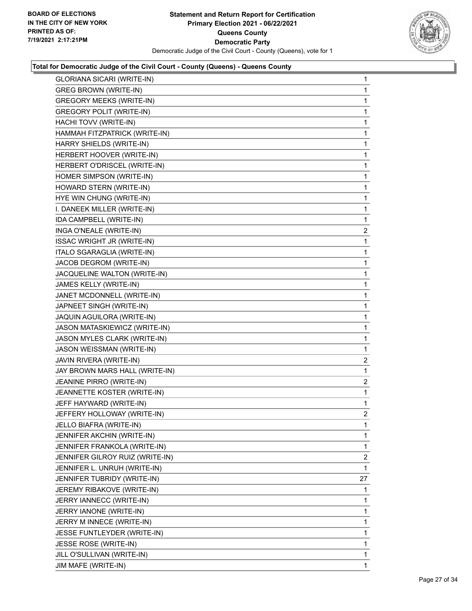

| GLORIANA SICARI (WRITE-IN)        | 1              |
|-----------------------------------|----------------|
| <b>GREG BROWN (WRITE-IN)</b>      | 1              |
| <b>GREGORY MEEKS (WRITE-IN)</b>   | 1              |
| <b>GREGORY POLIT (WRITE-IN)</b>   | 1              |
| HACHI TOVV (WRITE-IN)             | 1              |
| HAMMAH FITZPATRICK (WRITE-IN)     | 1              |
| HARRY SHIELDS (WRITE-IN)          | 1              |
| HERBERT HOOVER (WRITE-IN)         | 1              |
| HERBERT O'DRISCEL (WRITE-IN)      | 1              |
| HOMER SIMPSON (WRITE-IN)          | 1              |
| HOWARD STERN (WRITE-IN)           | 1              |
| HYE WIN CHUNG (WRITE-IN)          | 1              |
| I. DANEEK MILLER (WRITE-IN)       | 1              |
| IDA CAMPBELL (WRITE-IN)           | 1              |
| INGA O'NEALE (WRITE-IN)           | $\overline{2}$ |
| <b>ISSAC WRIGHT JR (WRITE-IN)</b> | 1              |
| ITALO SGARAGLIA (WRITE-IN)        | 1              |
| JACOB DEGROM (WRITE-IN)           | 1              |
| JACQUELINE WALTON (WRITE-IN)      | 1              |
| JAMES KELLY (WRITE-IN)            | 1              |
| JANET MCDONNELL (WRITE-IN)        | 1              |
| JAPNEET SINGH (WRITE-IN)          | 1              |
| JAQUIN AGUILORA (WRITE-IN)        | 1              |
| JASON MATASKIEWICZ (WRITE-IN)     | 1              |
| JASON MYLES CLARK (WRITE-IN)      | 1              |
| JASON WEISSMAN (WRITE-IN)         | 1              |
| JAVIN RIVERA (WRITE-IN)           | $\overline{2}$ |
| JAY BROWN MARS HALL (WRITE-IN)    | 1              |
| JEANINE PIRRO (WRITE-IN)          | $\overline{c}$ |
| JEANNETTE KOSTER (WRITE-IN)       | 1              |
| JEFF HAYWARD (WRITE-IN)           | 1              |
| JEFFERY HOLLOWAY (WRITE-IN)       | $\overline{2}$ |
| JELLO BIAFRA (WRITE-IN)           | 1              |
| JENNIFER AKCHIN (WRITE-IN)        | 1              |
| JENNIFER FRANKOLA (WRITE-IN)      | 1              |
| JENNIFER GILROY RUIZ (WRITE-IN)   | $\overline{2}$ |
| JENNIFER L. UNRUH (WRITE-IN)      | 1              |
| JENNIFER TUBRIDY (WRITE-IN)       | 27             |
| JEREMY RIBAKOVE (WRITE-IN)        | 1              |
| JERRY IANNECC (WRITE-IN)          | 1              |
| JERRY IANONE (WRITE-IN)           | 1              |
| JERRY M INNECE (WRITE-IN)         | 1              |
| JESSE FUNTLEYDER (WRITE-IN)       | 1              |
| JESSE ROSE (WRITE-IN)             | 1              |
| JILL O'SULLIVAN (WRITE-IN)        | 1              |
| JIM MAFE (WRITE-IN)               | $\mathbf{1}$   |
|                                   |                |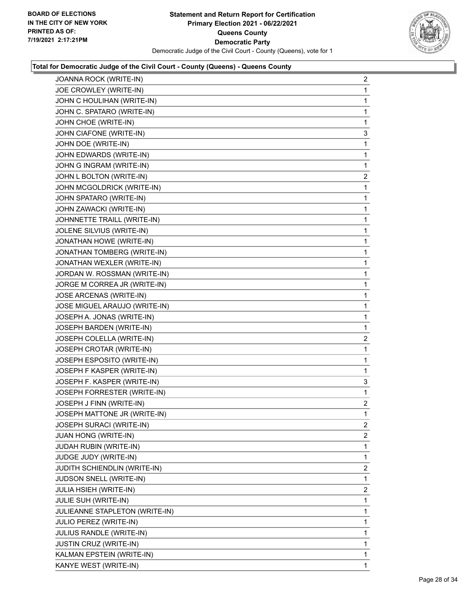

| JOANNA ROCK (WRITE-IN)         | $\overline{a}$ |
|--------------------------------|----------------|
| JOE CROWLEY (WRITE-IN)         | $\mathbf{1}$   |
| JOHN C HOULIHAN (WRITE-IN)     | $\mathbf{1}$   |
| JOHN C. SPATARO (WRITE-IN)     | $\mathbf 1$    |
| JOHN CHOE (WRITE-IN)           | 1              |
| JOHN CIAFONE (WRITE-IN)        | 3              |
| JOHN DOE (WRITE-IN)            | $\mathbf 1$    |
| JOHN EDWARDS (WRITE-IN)        | $\mathbf 1$    |
| JOHN G INGRAM (WRITE-IN)       | $\mathbf{1}$   |
| JOHN L BOLTON (WRITE-IN)       | 2              |
| JOHN MCGOLDRICK (WRITE-IN)     | $\mathbf 1$    |
| JOHN SPATARO (WRITE-IN)        | $\mathbf{1}$   |
| JOHN ZAWACKI (WRITE-IN)        | $\mathbf 1$    |
| JOHNNETTE TRAILL (WRITE-IN)    | $\mathbf 1$    |
| JOLENE SILVIUS (WRITE-IN)      | $\mathbf{1}$   |
| JONATHAN HOWE (WRITE-IN)       | $\mathbf 1$    |
| JONATHAN TOMBERG (WRITE-IN)    | $\mathbf 1$    |
| JONATHAN WEXLER (WRITE-IN)     | $\mathbf{1}$   |
| JORDAN W. ROSSMAN (WRITE-IN)   | $\mathbf 1$    |
| JORGE M CORREA JR (WRITE-IN)   | $\mathbf 1$    |
| JOSE ARCENAS (WRITE-IN)        | $\mathbf{1}$   |
| JOSE MIGUEL ARAUJO (WRITE-IN)  | $\mathbf 1$    |
| JOSEPH A. JONAS (WRITE-IN)     | $\mathbf 1$    |
| JOSEPH BARDEN (WRITE-IN)       | $\mathbf{1}$   |
| JOSEPH COLELLA (WRITE-IN)      | 2              |
| JOSEPH CROTAR (WRITE-IN)       | $\mathbf 1$    |
| JOSEPH ESPOSITO (WRITE-IN)     | $\mathbf{1}$   |
| JOSEPH F KASPER (WRITE-IN)     | 1              |
| JOSEPH F. KASPER (WRITE-IN)    | 3              |
| JOSEPH FORRESTER (WRITE-IN)    | $\mathbf{1}$   |
| JOSEPH J FINN (WRITE-IN)       | $\overline{c}$ |
| JOSEPH MATTONE JR (WRITE-IN)   | $\mathbf{1}$   |
| JOSEPH SURACI (WRITE-IN)       | 2              |
| <b>JUAN HONG (WRITE-IN)</b>    | $\mathbf{2}$   |
| JUDAH RUBIN (WRITE-IN)         | 1              |
| JUDGE JUDY (WRITE-IN)          | $\mathbf{1}$   |
| JUDITH SCHIENDLIN (WRITE-IN)   | 2              |
| JUDSON SNELL (WRITE-IN)        | 1              |
| JULIA HSIEH (WRITE-IN)         | 2              |
| JULIE SUH (WRITE-IN)           | 1              |
| JULIEANNE STAPLETON (WRITE-IN) | 1              |
| JULIO PEREZ (WRITE-IN)         | $\mathbf{1}$   |
| JULIUS RANDLE (WRITE-IN)       | 1              |
| JUSTIN CRUZ (WRITE-IN)         | 1              |
| KALMAN EPSTEIN (WRITE-IN)      | $\mathbf{1}$   |
| KANYE WEST (WRITE-IN)          | 1              |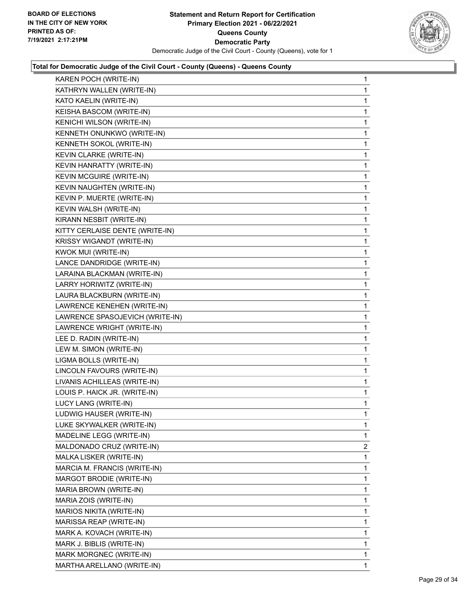

| KAREN POCH (WRITE-IN)           | 1            |
|---------------------------------|--------------|
| KATHRYN WALLEN (WRITE-IN)       | 1            |
| KATO KAELIN (WRITE-IN)          | 1            |
| KEISHA BASCOM (WRITE-IN)        | 1            |
| KENICHI WILSON (WRITE-IN)       | 1            |
| KENNETH ONUNKWO (WRITE-IN)      | 1            |
| KENNETH SOKOL (WRITE-IN)        | 1            |
| KEVIN CLARKE (WRITE-IN)         | 1            |
| KEVIN HANRATTY (WRITE-IN)       | 1            |
| <b>KEVIN MCGUIRE (WRITE-IN)</b> | 1            |
| KEVIN NAUGHTEN (WRITE-IN)       | 1            |
| KEVIN P. MUERTE (WRITE-IN)      | 1            |
| KEVIN WALSH (WRITE-IN)          | 1            |
| KIRANN NESBIT (WRITE-IN)        | 1            |
| KITTY CERLAISE DENTE (WRITE-IN) | 1            |
| KRISSY WIGANDT (WRITE-IN)       | 1            |
| KWOK MUI (WRITE-IN)             | 1            |
| LANCE DANDRIDGE (WRITE-IN)      | 1            |
| LARAINA BLACKMAN (WRITE-IN)     | 1            |
| LARRY HORIWITZ (WRITE-IN)       | 1            |
| LAURA BLACKBURN (WRITE-IN)      | 1            |
| LAWRENCE KENEHEN (WRITE-IN)     | 1            |
| LAWRENCE SPASOJEVICH (WRITE-IN) | 1            |
| LAWRENCE WRIGHT (WRITE-IN)      | 1            |
| LEE D. RADIN (WRITE-IN)         | 1            |
| LEW M. SIMON (WRITE-IN)         | 1            |
| LIGMA BOLLS (WRITE-IN)          | 1            |
| LINCOLN FAVOURS (WRITE-IN)      | 1            |
| LIVANIS ACHILLEAS (WRITE-IN)    | 1            |
| LOUIS P. HAICK JR. (WRITE-IN)   | 1            |
| LUCY LANG (WRITE-IN)            | 1            |
| LUDWIG HAUSER (WRITE-IN)        | 1            |
| LUKE SKYWALKER (WRITE-IN)       | 1            |
| MADELINE LEGG (WRITE-IN)        | $\mathbf{1}$ |
| MALDONADO CRUZ (WRITE-IN)       | 2            |
| MALKA LISKER (WRITE-IN)         | 1            |
| MARCIA M. FRANCIS (WRITE-IN)    | 1            |
| MARGOT BRODIE (WRITE-IN)        | 1            |
| MARIA BROWN (WRITE-IN)          | 1            |
| MARIA ZOIS (WRITE-IN)           | 1            |
| MARIOS NIKITA (WRITE-IN)        | 1            |
| MARISSA REAP (WRITE-IN)         | 1            |
| MARK A. KOVACH (WRITE-IN)       | 1            |
| MARK J. BIBLIS (WRITE-IN)       | 1            |
| MARK MORGNEC (WRITE-IN)         | 1            |
| MARTHA ARELLANO (WRITE-IN)      | $\mathbf{1}$ |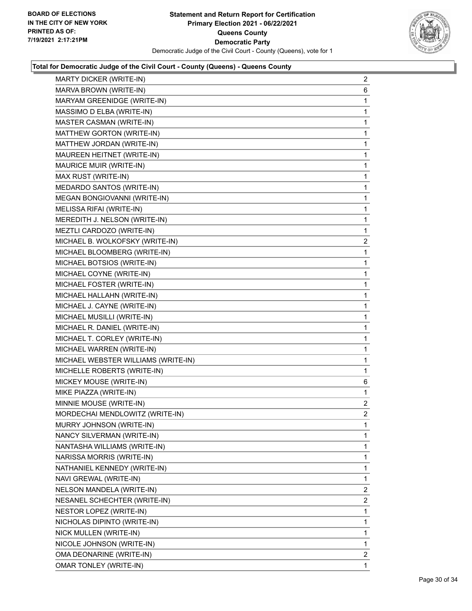

| <b>MARTY DICKER (WRITE-IN)</b>      | $\overline{2}$          |
|-------------------------------------|-------------------------|
| MARVA BROWN (WRITE-IN)              | 6                       |
| MARYAM GREENIDGE (WRITE-IN)         | 1                       |
| MASSIMO D ELBA (WRITE-IN)           | 1                       |
| MASTER CASMAN (WRITE-IN)            | 1                       |
| MATTHEW GORTON (WRITE-IN)           | 1                       |
| MATTHEW JORDAN (WRITE-IN)           | 1                       |
| MAUREEN HEITNET (WRITE-IN)          | 1                       |
| MAURICE MUIR (WRITE-IN)             | 1                       |
| MAX RUST (WRITE-IN)                 | 1                       |
| MEDARDO SANTOS (WRITE-IN)           | 1                       |
| MEGAN BONGIOVANNI (WRITE-IN)        | 1                       |
| MELISSA RIFAI (WRITE-IN)            | 1                       |
| MEREDITH J. NELSON (WRITE-IN)       | 1                       |
| MEZTLI CARDOZO (WRITE-IN)           | 1                       |
| MICHAEL B. WOLKOFSKY (WRITE-IN)     | $\overline{c}$          |
| MICHAEL BLOOMBERG (WRITE-IN)        | 1                       |
| MICHAEL BOTSIOS (WRITE-IN)          | 1                       |
| MICHAEL COYNE (WRITE-IN)            | 1                       |
| MICHAEL FOSTER (WRITE-IN)           | 1                       |
| MICHAEL HALLAHN (WRITE-IN)          | 1                       |
| MICHAEL J. CAYNE (WRITE-IN)         | 1                       |
| MICHAEL MUSILLI (WRITE-IN)          | 1                       |
| MICHAEL R. DANIEL (WRITE-IN)        | 1                       |
| MICHAEL T. CORLEY (WRITE-IN)        | 1                       |
| MICHAEL WARREN (WRITE-IN)           | 1                       |
| MICHAEL WEBSTER WILLIAMS (WRITE-IN) | 1                       |
| MICHELLE ROBERTS (WRITE-IN)         | 1                       |
| MICKEY MOUSE (WRITE-IN)             | 6                       |
| MIKE PIAZZA (WRITE-IN)              | 1                       |
| MINNIE MOUSE (WRITE-IN)             | $\overline{2}$          |
| MORDECHAI MENDLOWITZ (WRITE-IN)     | $\overline{\mathbf{c}}$ |
| MURRY JOHNSON (WRITE-IN)            | 1                       |
| NANCY SILVERMAN (WRITE-IN)          | 1                       |
| NANTASHA WILLIAMS (WRITE-IN)        | 1                       |
| NARISSA MORRIS (WRITE-IN)           | 1                       |
| NATHANIEL KENNEDY (WRITE-IN)        | 1                       |
| NAVI GREWAL (WRITE-IN)              | 1                       |
| NELSON MANDELA (WRITE-IN)           | $\overline{2}$          |
| NESANEL SCHECHTER (WRITE-IN)        | 2                       |
| NESTOR LOPEZ (WRITE-IN)             | 1                       |
| NICHOLAS DIPINTO (WRITE-IN)         | 1                       |
| NICK MULLEN (WRITE-IN)              | 1                       |
| NICOLE JOHNSON (WRITE-IN)           | 1                       |
| OMA DEONARINE (WRITE-IN)            | $\overline{2}$          |
| <b>OMAR TONLEY (WRITE-IN)</b>       | 1                       |
|                                     |                         |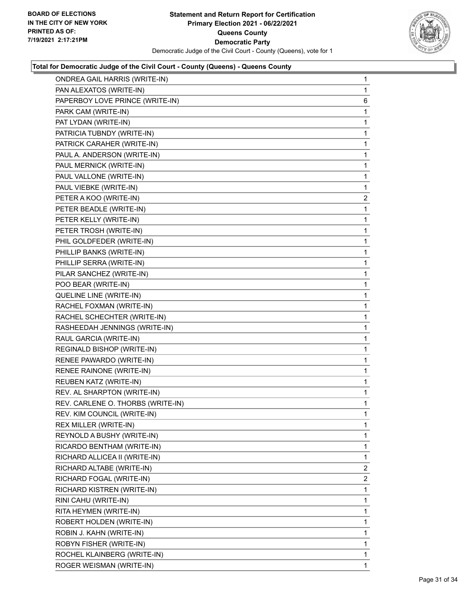

| PAN ALEXATOS (WRITE-IN)<br>1<br>PAPERBOY LOVE PRINCE (WRITE-IN)<br>PARK CAM (WRITE-IN)<br>1<br>PAT LYDAN (WRITE-IN)<br>1<br>PATRICIA TUBNDY (WRITE-IN)<br>1<br>PATRICK CARAHER (WRITE-IN)<br>1<br>PAUL A. ANDERSON (WRITE-IN)<br>1<br>PAUL MERNICK (WRITE-IN)<br>1<br>PAUL VALLONE (WRITE-IN)<br>1<br>PAUL VIEBKE (WRITE-IN)<br>1<br>PETER A KOO (WRITE-IN)<br>PETER BEADLE (WRITE-IN)<br>1<br>PETER KELLY (WRITE-IN)<br>1<br>PETER TROSH (WRITE-IN)<br>1<br>PHIL GOLDFEDER (WRITE-IN)<br>1<br>PHILLIP BANKS (WRITE-IN)<br>1<br>PHILLIP SERRA (WRITE-IN)<br>1<br>PILAR SANCHEZ (WRITE-IN)<br>1<br>POO BEAR (WRITE-IN)<br>1<br>QUELINE LINE (WRITE-IN)<br>1<br>RACHEL FOXMAN (WRITE-IN)<br>1<br>RACHEL SCHECHTER (WRITE-IN)<br>1<br>RASHEEDAH JENNINGS (WRITE-IN)<br>1<br>RAUL GARCIA (WRITE-IN)<br>1<br>REGINALD BISHOP (WRITE-IN)<br>1<br>RENEE PAWARDO (WRITE-IN)<br>1<br>RENEE RAINONE (WRITE-IN)<br>1<br>REUBEN KATZ (WRITE-IN)<br>1<br>REV. AL SHARPTON (WRITE-IN)<br>1<br>REV. CARLENE O. THORBS (WRITE-IN)<br>1<br>REV. KIM COUNCIL (WRITE-IN)<br>1<br>1<br>REX MILLER (WRITE-IN)<br>REYNOLD A BUSHY (WRITE-IN)<br>RICARDO BENTHAM (WRITE-IN)<br>1<br>RICHARD ALLICEA II (WRITE-IN)<br>1<br>RICHARD ALTABE (WRITE-IN)<br>RICHARD FOGAL (WRITE-IN)<br>RICHARD KISTREN (WRITE-IN)<br>1<br>RINI CAHU (WRITE-IN)<br>1<br>RITA HEYMEN (WRITE-IN)<br>1<br>ROBERT HOLDEN (WRITE-IN)<br>1<br>1<br>ROBIN J. KAHN (WRITE-IN)<br>ROBYN FISHER (WRITE-IN)<br>1<br>ROCHEL KLAINBERG (WRITE-IN)<br>ROGER WEISMAN (WRITE-IN) | <b>ONDREA GAIL HARRIS (WRITE-IN)</b> | $\mathbf{1}$   |
|----------------------------------------------------------------------------------------------------------------------------------------------------------------------------------------------------------------------------------------------------------------------------------------------------------------------------------------------------------------------------------------------------------------------------------------------------------------------------------------------------------------------------------------------------------------------------------------------------------------------------------------------------------------------------------------------------------------------------------------------------------------------------------------------------------------------------------------------------------------------------------------------------------------------------------------------------------------------------------------------------------------------------------------------------------------------------------------------------------------------------------------------------------------------------------------------------------------------------------------------------------------------------------------------------------------------------------------------------------------------------------------------------------------------------------------------------------------------------------------------------------------------|--------------------------------------|----------------|
|                                                                                                                                                                                                                                                                                                                                                                                                                                                                                                                                                                                                                                                                                                                                                                                                                                                                                                                                                                                                                                                                                                                                                                                                                                                                                                                                                                                                                                                                                                                      |                                      |                |
|                                                                                                                                                                                                                                                                                                                                                                                                                                                                                                                                                                                                                                                                                                                                                                                                                                                                                                                                                                                                                                                                                                                                                                                                                                                                                                                                                                                                                                                                                                                      |                                      | 6              |
|                                                                                                                                                                                                                                                                                                                                                                                                                                                                                                                                                                                                                                                                                                                                                                                                                                                                                                                                                                                                                                                                                                                                                                                                                                                                                                                                                                                                                                                                                                                      |                                      |                |
|                                                                                                                                                                                                                                                                                                                                                                                                                                                                                                                                                                                                                                                                                                                                                                                                                                                                                                                                                                                                                                                                                                                                                                                                                                                                                                                                                                                                                                                                                                                      |                                      |                |
|                                                                                                                                                                                                                                                                                                                                                                                                                                                                                                                                                                                                                                                                                                                                                                                                                                                                                                                                                                                                                                                                                                                                                                                                                                                                                                                                                                                                                                                                                                                      |                                      |                |
|                                                                                                                                                                                                                                                                                                                                                                                                                                                                                                                                                                                                                                                                                                                                                                                                                                                                                                                                                                                                                                                                                                                                                                                                                                                                                                                                                                                                                                                                                                                      |                                      |                |
|                                                                                                                                                                                                                                                                                                                                                                                                                                                                                                                                                                                                                                                                                                                                                                                                                                                                                                                                                                                                                                                                                                                                                                                                                                                                                                                                                                                                                                                                                                                      |                                      |                |
|                                                                                                                                                                                                                                                                                                                                                                                                                                                                                                                                                                                                                                                                                                                                                                                                                                                                                                                                                                                                                                                                                                                                                                                                                                                                                                                                                                                                                                                                                                                      |                                      |                |
|                                                                                                                                                                                                                                                                                                                                                                                                                                                                                                                                                                                                                                                                                                                                                                                                                                                                                                                                                                                                                                                                                                                                                                                                                                                                                                                                                                                                                                                                                                                      |                                      |                |
|                                                                                                                                                                                                                                                                                                                                                                                                                                                                                                                                                                                                                                                                                                                                                                                                                                                                                                                                                                                                                                                                                                                                                                                                                                                                                                                                                                                                                                                                                                                      |                                      |                |
|                                                                                                                                                                                                                                                                                                                                                                                                                                                                                                                                                                                                                                                                                                                                                                                                                                                                                                                                                                                                                                                                                                                                                                                                                                                                                                                                                                                                                                                                                                                      |                                      | 2              |
|                                                                                                                                                                                                                                                                                                                                                                                                                                                                                                                                                                                                                                                                                                                                                                                                                                                                                                                                                                                                                                                                                                                                                                                                                                                                                                                                                                                                                                                                                                                      |                                      |                |
|                                                                                                                                                                                                                                                                                                                                                                                                                                                                                                                                                                                                                                                                                                                                                                                                                                                                                                                                                                                                                                                                                                                                                                                                                                                                                                                                                                                                                                                                                                                      |                                      |                |
|                                                                                                                                                                                                                                                                                                                                                                                                                                                                                                                                                                                                                                                                                                                                                                                                                                                                                                                                                                                                                                                                                                                                                                                                                                                                                                                                                                                                                                                                                                                      |                                      |                |
|                                                                                                                                                                                                                                                                                                                                                                                                                                                                                                                                                                                                                                                                                                                                                                                                                                                                                                                                                                                                                                                                                                                                                                                                                                                                                                                                                                                                                                                                                                                      |                                      |                |
|                                                                                                                                                                                                                                                                                                                                                                                                                                                                                                                                                                                                                                                                                                                                                                                                                                                                                                                                                                                                                                                                                                                                                                                                                                                                                                                                                                                                                                                                                                                      |                                      |                |
|                                                                                                                                                                                                                                                                                                                                                                                                                                                                                                                                                                                                                                                                                                                                                                                                                                                                                                                                                                                                                                                                                                                                                                                                                                                                                                                                                                                                                                                                                                                      |                                      |                |
|                                                                                                                                                                                                                                                                                                                                                                                                                                                                                                                                                                                                                                                                                                                                                                                                                                                                                                                                                                                                                                                                                                                                                                                                                                                                                                                                                                                                                                                                                                                      |                                      |                |
|                                                                                                                                                                                                                                                                                                                                                                                                                                                                                                                                                                                                                                                                                                                                                                                                                                                                                                                                                                                                                                                                                                                                                                                                                                                                                                                                                                                                                                                                                                                      |                                      |                |
|                                                                                                                                                                                                                                                                                                                                                                                                                                                                                                                                                                                                                                                                                                                                                                                                                                                                                                                                                                                                                                                                                                                                                                                                                                                                                                                                                                                                                                                                                                                      |                                      |                |
|                                                                                                                                                                                                                                                                                                                                                                                                                                                                                                                                                                                                                                                                                                                                                                                                                                                                                                                                                                                                                                                                                                                                                                                                                                                                                                                                                                                                                                                                                                                      |                                      |                |
|                                                                                                                                                                                                                                                                                                                                                                                                                                                                                                                                                                                                                                                                                                                                                                                                                                                                                                                                                                                                                                                                                                                                                                                                                                                                                                                                                                                                                                                                                                                      |                                      |                |
|                                                                                                                                                                                                                                                                                                                                                                                                                                                                                                                                                                                                                                                                                                                                                                                                                                                                                                                                                                                                                                                                                                                                                                                                                                                                                                                                                                                                                                                                                                                      |                                      |                |
|                                                                                                                                                                                                                                                                                                                                                                                                                                                                                                                                                                                                                                                                                                                                                                                                                                                                                                                                                                                                                                                                                                                                                                                                                                                                                                                                                                                                                                                                                                                      |                                      |                |
|                                                                                                                                                                                                                                                                                                                                                                                                                                                                                                                                                                                                                                                                                                                                                                                                                                                                                                                                                                                                                                                                                                                                                                                                                                                                                                                                                                                                                                                                                                                      |                                      |                |
|                                                                                                                                                                                                                                                                                                                                                                                                                                                                                                                                                                                                                                                                                                                                                                                                                                                                                                                                                                                                                                                                                                                                                                                                                                                                                                                                                                                                                                                                                                                      |                                      |                |
|                                                                                                                                                                                                                                                                                                                                                                                                                                                                                                                                                                                                                                                                                                                                                                                                                                                                                                                                                                                                                                                                                                                                                                                                                                                                                                                                                                                                                                                                                                                      |                                      |                |
|                                                                                                                                                                                                                                                                                                                                                                                                                                                                                                                                                                                                                                                                                                                                                                                                                                                                                                                                                                                                                                                                                                                                                                                                                                                                                                                                                                                                                                                                                                                      |                                      |                |
|                                                                                                                                                                                                                                                                                                                                                                                                                                                                                                                                                                                                                                                                                                                                                                                                                                                                                                                                                                                                                                                                                                                                                                                                                                                                                                                                                                                                                                                                                                                      |                                      |                |
|                                                                                                                                                                                                                                                                                                                                                                                                                                                                                                                                                                                                                                                                                                                                                                                                                                                                                                                                                                                                                                                                                                                                                                                                                                                                                                                                                                                                                                                                                                                      |                                      |                |
|                                                                                                                                                                                                                                                                                                                                                                                                                                                                                                                                                                                                                                                                                                                                                                                                                                                                                                                                                                                                                                                                                                                                                                                                                                                                                                                                                                                                                                                                                                                      |                                      |                |
|                                                                                                                                                                                                                                                                                                                                                                                                                                                                                                                                                                                                                                                                                                                                                                                                                                                                                                                                                                                                                                                                                                                                                                                                                                                                                                                                                                                                                                                                                                                      |                                      |                |
|                                                                                                                                                                                                                                                                                                                                                                                                                                                                                                                                                                                                                                                                                                                                                                                                                                                                                                                                                                                                                                                                                                                                                                                                                                                                                                                                                                                                                                                                                                                      |                                      | 1              |
|                                                                                                                                                                                                                                                                                                                                                                                                                                                                                                                                                                                                                                                                                                                                                                                                                                                                                                                                                                                                                                                                                                                                                                                                                                                                                                                                                                                                                                                                                                                      |                                      |                |
|                                                                                                                                                                                                                                                                                                                                                                                                                                                                                                                                                                                                                                                                                                                                                                                                                                                                                                                                                                                                                                                                                                                                                                                                                                                                                                                                                                                                                                                                                                                      |                                      |                |
|                                                                                                                                                                                                                                                                                                                                                                                                                                                                                                                                                                                                                                                                                                                                                                                                                                                                                                                                                                                                                                                                                                                                                                                                                                                                                                                                                                                                                                                                                                                      |                                      | 2              |
|                                                                                                                                                                                                                                                                                                                                                                                                                                                                                                                                                                                                                                                                                                                                                                                                                                                                                                                                                                                                                                                                                                                                                                                                                                                                                                                                                                                                                                                                                                                      |                                      | $\overline{2}$ |
|                                                                                                                                                                                                                                                                                                                                                                                                                                                                                                                                                                                                                                                                                                                                                                                                                                                                                                                                                                                                                                                                                                                                                                                                                                                                                                                                                                                                                                                                                                                      |                                      |                |
|                                                                                                                                                                                                                                                                                                                                                                                                                                                                                                                                                                                                                                                                                                                                                                                                                                                                                                                                                                                                                                                                                                                                                                                                                                                                                                                                                                                                                                                                                                                      |                                      |                |
|                                                                                                                                                                                                                                                                                                                                                                                                                                                                                                                                                                                                                                                                                                                                                                                                                                                                                                                                                                                                                                                                                                                                                                                                                                                                                                                                                                                                                                                                                                                      |                                      |                |
|                                                                                                                                                                                                                                                                                                                                                                                                                                                                                                                                                                                                                                                                                                                                                                                                                                                                                                                                                                                                                                                                                                                                                                                                                                                                                                                                                                                                                                                                                                                      |                                      |                |
|                                                                                                                                                                                                                                                                                                                                                                                                                                                                                                                                                                                                                                                                                                                                                                                                                                                                                                                                                                                                                                                                                                                                                                                                                                                                                                                                                                                                                                                                                                                      |                                      |                |
|                                                                                                                                                                                                                                                                                                                                                                                                                                                                                                                                                                                                                                                                                                                                                                                                                                                                                                                                                                                                                                                                                                                                                                                                                                                                                                                                                                                                                                                                                                                      |                                      |                |
|                                                                                                                                                                                                                                                                                                                                                                                                                                                                                                                                                                                                                                                                                                                                                                                                                                                                                                                                                                                                                                                                                                                                                                                                                                                                                                                                                                                                                                                                                                                      |                                      | 1              |
|                                                                                                                                                                                                                                                                                                                                                                                                                                                                                                                                                                                                                                                                                                                                                                                                                                                                                                                                                                                                                                                                                                                                                                                                                                                                                                                                                                                                                                                                                                                      |                                      | 1              |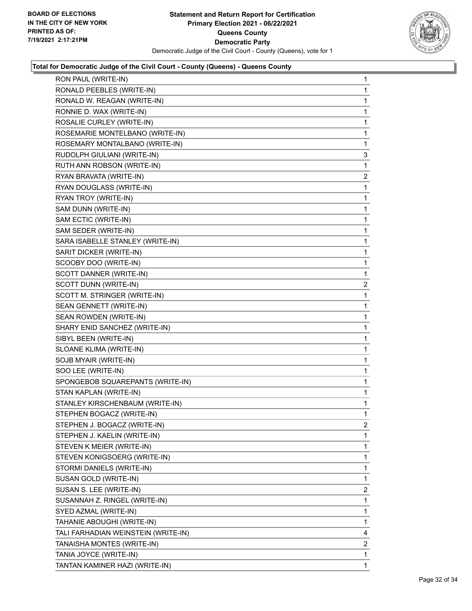

| RON PAUL (WRITE-IN)                 | 1 |
|-------------------------------------|---|
| RONALD PEEBLES (WRITE-IN)           | 1 |
| RONALD W. REAGAN (WRITE-IN)         | 1 |
| RONNIE D. WAX (WRITE-IN)            | 1 |
| ROSALIE CURLEY (WRITE-IN)           | 1 |
| ROSEMARIE MONTELBANO (WRITE-IN)     | 1 |
| ROSEMARY MONTALBANO (WRITE-IN)      | 1 |
| RUDOLPH GIULIANI (WRITE-IN)         | 3 |
| RUTH ANN ROBSON (WRITE-IN)          | 1 |
| RYAN BRAVATA (WRITE-IN)             | 2 |
| RYAN DOUGLASS (WRITE-IN)            | 1 |
| RYAN TROY (WRITE-IN)                | 1 |
| SAM DUNN (WRITE-IN)                 | 1 |
| SAM ECTIC (WRITE-IN)                | 1 |
| SAM SEDER (WRITE-IN)                | 1 |
| SARA ISABELLE STANLEY (WRITE-IN)    | 1 |
| SARIT DICKER (WRITE-IN)             | 1 |
| SCOOBY DOO (WRITE-IN)               | 1 |
| SCOTT DANNER (WRITE-IN)             | 1 |
| SCOTT DUNN (WRITE-IN)               | 2 |
| SCOTT M. STRINGER (WRITE-IN)        | 1 |
| SEAN GENNETT (WRITE-IN)             | 1 |
| SEAN ROWDEN (WRITE-IN)              | 1 |
| SHARY ENID SANCHEZ (WRITE-IN)       | 1 |
| SIBYL BEEN (WRITE-IN)               | 1 |
| SLOANE KLIMA (WRITE-IN)             | 1 |
| SOJB MYAIR (WRITE-IN)               | 1 |
| SOO LEE (WRITE-IN)                  | 1 |
| SPONGEBOB SQUAREPANTS (WRITE-IN)    | 1 |
| STAN KAPLAN (WRITE-IN)              | 1 |
| STANLEY KIRSCHENBAUM (WRITE-IN)     | 1 |
| STEPHEN BOGACZ (WRITE-IN)           | 1 |
| STEPHEN J. BOGACZ (WRITE-IN)        | 2 |
| STEPHEN J. KAELIN (WRITE-IN)        | 1 |
| STEVEN K MEIER (WRITE-IN)           | 1 |
| STEVEN KONIGSOERG (WRITE-IN)        | 1 |
| STORMI DANIELS (WRITE-IN)           | 1 |
| SUSAN GOLD (WRITE-IN)               | 1 |
| SUSAN S. LEE (WRITE-IN)             | 2 |
| SUSANNAH Z. RINGEL (WRITE-IN)       | 1 |
| SYED AZMAL (WRITE-IN)               | 1 |
| TAHANIE ABOUGHI (WRITE-IN)          | 1 |
| TALI FARHADIAN WEINSTEIN (WRITE-IN) | 4 |
| TANAISHA MONTES (WRITE-IN)          | 2 |
| TANIA JOYCE (WRITE-IN)              | 1 |
| TANTAN KAMINER HAZI (WRITE-IN)      | 1 |
|                                     |   |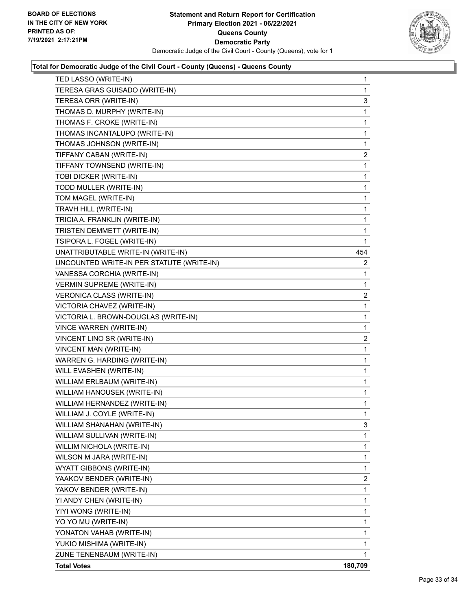

| TED LASSO (WRITE-IN)                      | 1       |
|-------------------------------------------|---------|
| TERESA GRAS GUISADO (WRITE-IN)            | 1       |
| TERESA ORR (WRITE-IN)                     | 3       |
| THOMAS D. MURPHY (WRITE-IN)               | 1       |
| THOMAS F. CROKE (WRITE-IN)                | 1       |
| THOMAS INCANTALUPO (WRITE-IN)             | 1       |
| THOMAS JOHNSON (WRITE-IN)                 | 1       |
| TIFFANY CABAN (WRITE-IN)                  | 2       |
| TIFFANY TOWNSEND (WRITE-IN)               | 1       |
| TOBI DICKER (WRITE-IN)                    | 1       |
| TODD MULLER (WRITE-IN)                    | 1       |
| TOM MAGEL (WRITE-IN)                      | 1       |
| TRAVH HILL (WRITE-IN)                     | 1       |
| TRICIA A. FRANKLIN (WRITE-IN)             | 1       |
| TRISTEN DEMMETT (WRITE-IN)                | 1       |
| TSIPORA L. FOGEL (WRITE-IN)               | 1       |
| UNATTRIBUTABLE WRITE-IN (WRITE-IN)        | 454     |
| UNCOUNTED WRITE-IN PER STATUTE (WRITE-IN) | 2       |
| VANESSA CORCHIA (WRITE-IN)                | 1       |
| <b>VERMIN SUPREME (WRITE-IN)</b>          | 1       |
| <b>VERONICA CLASS (WRITE-IN)</b>          | 2       |
| VICTORIA CHAVEZ (WRITE-IN)                | 1       |
| VICTORIA L. BROWN-DOUGLAS (WRITE-IN)      | 1       |
| VINCE WARREN (WRITE-IN)                   | 1       |
| VINCENT LINO SR (WRITE-IN)                | 2       |
| VINCENT MAN (WRITE-IN)                    | 1       |
| WARREN G. HARDING (WRITE-IN)              | 1       |
| WILL EVASHEN (WRITE-IN)                   | 1       |
| WILLIAM ERLBAUM (WRITE-IN)                | 1       |
| WILLIAM HANOUSEK (WRITE-IN)               | 1       |
| WILLIAM HERNANDEZ (WRITE-IN)              | 1       |
| WILLIAM J. COYLE (WRITE-IN)               | 1       |
| WILLIAM SHANAHAN (WRITE-IN)               | 3       |
| WILLIAM SULLIVAN (WRITE-IN)               | 1       |
| WILLIM NICHOLA (WRITE-IN)                 | 1       |
| WILSON M JARA (WRITE-IN)                  | 1       |
| WYATT GIBBONS (WRITE-IN)                  | 1       |
| YAAKOV BENDER (WRITE-IN)                  | 2       |
| YAKOV BENDER (WRITE-IN)                   | 1       |
| YI ANDY CHEN (WRITE-IN)                   | 1       |
| YIYI WONG (WRITE-IN)                      | 1       |
| YO YO MU (WRITE-IN)                       | 1       |
| YONATON VAHAB (WRITE-IN)                  | 1       |
| YUKIO MISHIMA (WRITE-IN)                  | 1       |
| ZUNE TENENBAUM (WRITE-IN)                 | 1       |
| <b>Total Votes</b>                        | 180,709 |